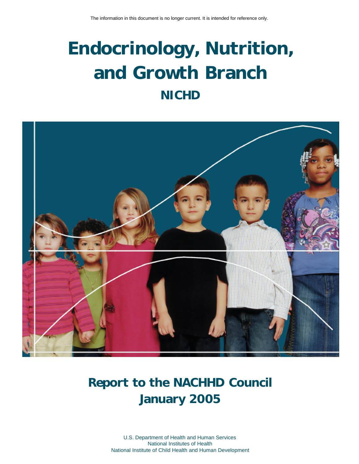# **Endocrinology, Nutrition, and Growth Branch NICHD**



# **Report to the NACHHD Council January 2005**

U.S. Department of Health and Human Services National Institutes of Health National Institute of Child Health and Human Development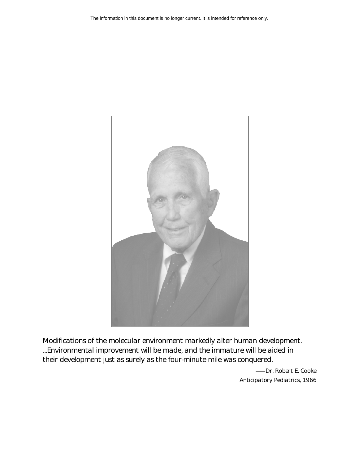

*Modifications of the molecular environment markedly alter human development. ...Environmental improvement will be made, and the immature will be aided in their development just as surely as the four-minute mile was conquered.* 

> Dr. Robert E. Cooke *Anticipatory Pediatrics,* 1966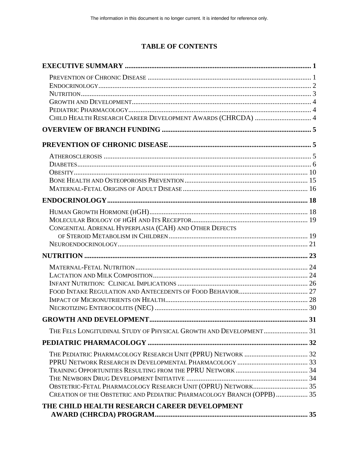# **TABLE OF CONTENTS**

| CHILD HEALTH RESEARCH CAREER DEVELOPMENT AWARDS (CHRCDA)  4            |  |
|------------------------------------------------------------------------|--|
|                                                                        |  |
|                                                                        |  |
|                                                                        |  |
|                                                                        |  |
|                                                                        |  |
|                                                                        |  |
|                                                                        |  |
|                                                                        |  |
|                                                                        |  |
|                                                                        |  |
| CONGENITAL ADRENAL HYPERPLASIA (CAH) AND OTHER DEFECTS                 |  |
|                                                                        |  |
|                                                                        |  |
|                                                                        |  |
|                                                                        |  |
|                                                                        |  |
|                                                                        |  |
|                                                                        |  |
|                                                                        |  |
|                                                                        |  |
|                                                                        |  |
| THE FELS LONGITUDINAL STUDY OF PHYSICAL GROWTH AND DEVELOPMENT 31      |  |
|                                                                        |  |
|                                                                        |  |
|                                                                        |  |
|                                                                        |  |
|                                                                        |  |
|                                                                        |  |
| CREATION OF THE OBSTETRIC AND PEDIATRIC PHARMACOLOGY BRANCH (OPPB)  35 |  |
| THE CHILD HEALTH RESEARCH CAREER DEVELOPMENT                           |  |
|                                                                        |  |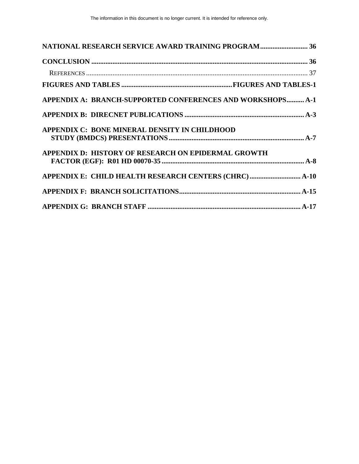| <b>NATIONAL RESEARCH SERVICE AWARD TRAINING PROGRAM 36</b>        |  |
|-------------------------------------------------------------------|--|
|                                                                   |  |
|                                                                   |  |
|                                                                   |  |
| <b>APPENDIX A: BRANCH-SUPPORTED CONFERENCES AND WORKSHOPS A-1</b> |  |
|                                                                   |  |
| APPENDIX C: BONE MINERAL DENSITY IN CHILDHOOD                     |  |
| <b>APPENDIX D: HISTORY OF RESEARCH ON EPIDERMAL GROWTH</b>        |  |
|                                                                   |  |
|                                                                   |  |
|                                                                   |  |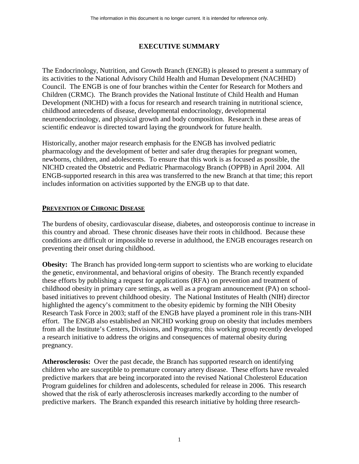# **EXECUTIVE SUMMARY**

<span id="page-4-0"></span>The Endocrinology, Nutrition, and Growth Branch (ENGB) is pleased to present a summary of its activities to the National Advisory Child Health and Human Development (NACHHD) Council. The ENGB is one of four branches within the Center for Research for Mothers and Children (CRMC). The Branch provides the National Institute of Child Health and Human Development (NICHD) with a focus for research and research training in nutritional science, childhood antecedents of disease, developmental endocrinology, developmental neuroendocrinology, and physical growth and body composition. Research in these areas of scientific endeavor is directed toward laying the groundwork for future health.

Historically, another major research emphasis for the ENGB has involved pediatric pharmacology and the development of better and safer drug therapies for pregnant women, newborns, children, and adolescents. To ensure that this work is as focused as possible, the NICHD created the Obstetric and Pediatric Pharmacology Branch (OPPB) in April 2004. All ENGB-supported research in this area was transferred to the new Branch at that time; this report includes information on activities supported by the ENGB up to that date.

# **PREVENTION OF CHRONIC DISEASE**

The burdens of obesity, cardiovascular disease, diabetes, and osteoporosis continue to increase in this country and abroad. These chronic diseases have their roots in childhood. Because these conditions are difficult or impossible to reverse in adulthood, the ENGB encourages research on preventing their onset during childhood.

 pregnancy. **Obesity:** The Branch has provided long-term support to scientists who are working to elucidate the genetic, environmental, and behavioral origins of obesity. The Branch recently expanded these efforts by publishing a request for applications (RFA) on prevention and treatment of childhood obesity in primary care settings, as well as a program announcement (PA) on schoolbased initiatives to prevent childhood obesity. The National Institutes of Health (NIH) director highlighted the agency's commitment to the obesity epidemic by forming the NIH Obesity Research Task Force in 2003; staff of the ENGB have played a prominent role in this trans-NIH effort. The ENGB also established an NICHD working group on obesity that includes members from all the Institute's Centers, Divisions, and Programs; this working group recently developed a research initiative to address the origins and consequences of maternal obesity during

**Atherosclerosis:** Over the past decade, the Branch has supported research on identifying children who are susceptible to premature coronary artery disease. These efforts have revealed predictive markers that are being incorporated into the revised National Cholesterol Education Program guidelines for children and adolescents, scheduled for release in 2006. This research showed that the risk of early atherosclerosis increases markedly according to the number of predictive markers. The Branch expanded this research initiative by holding three research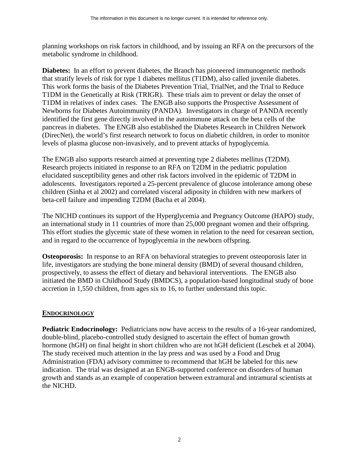<span id="page-5-0"></span>planning workshops on risk factors in childhood, and by issuing an RFA on the precursors of the metabolic syndrome in childhood.

**Diabetes:** In an effort to prevent diabetes, the Branch has pioneered immunogenetic methods that stratify levels of risk for type 1 diabetes mellitus (T1DM), also called juvenile diabetes. This work forms the basis of the Diabetes Prevention Trial, TrialNet, and the Trial to Reduce T1DM in the Genetically at Risk (TRIGR). These trials aim to prevent or delay the onset of T1DM in relatives of index cases. The ENGB also supports the Prospective Assessment of Newborns for Diabetes Autoimmunity (PANDA). Investigators in charge of PANDA recently identified the first gene directly involved in the autoimmune attack on the beta cells of the pancreas in diabetes. The ENGB also established the Diabetes Research in Children Network (DirecNet), the world's first research network to focus on diabetic children, in order to monitor levels of plasma glucose non-invasively, and to prevent attacks of hypoglycemia.

The ENGB also supports research aimed at preventing type 2 diabetes mellitus (T2DM). Research projects initiated in response to an RFA on T2DM in the pediatric population elucidated susceptibility genes and other risk factors involved in the epidemic of T2DM in adolescents. Investigators reported a 25-percent prevalence of glucose intolerance among obese children (Sinha et al 2002) and correlated visceral adiposity in children with new markers of beta-cell failure and impending T2DM (Bacha et al 2004).

an international study in 11 countries of more than 25,000 pregnant women and their offspring. and in regard to the occurrence of hypoglycemia in the newborn offspring. The NICHD continues its support of the Hyperglycemia and Pregnancy Outcome (HAPO) study, This effort studies the glycemic state of these women in relation to the need for cesarean section,

**Osteoporosis:** In response to an RFA on behavioral strategies to prevent osteoporosis later in life, investigators are studying the bone mineral density (BMD) of several thousand children, prospectively, to assess the effect of dietary and behavioral interventions. The ENGB also initiated the BMD in Childhood Study (BMDCS), a population-based longitudinal study of bone accretion in 1,550 children, from ages six to 16, to further understand this topic.

#### **ENDOCRINOLOGY**

**Pediatric Endocrinology:** Pediatricians now have access to the results of a 16-year randomized, double-blind, placebo-controlled study designed to ascertain the effect of human growth hormone (hGH) on final height in short children who are not hGH deficient (Leschek et al 2004). The study received much attention in the lay press and was used by a Food and Drug Administration (FDA) advisory committee to recommend that hGH be labeled for this new indication. The trial was designed at an ENGB-supported conference on disorders of human growth and stands as an example of cooperation between extramural and intramural scientists at the NICHD.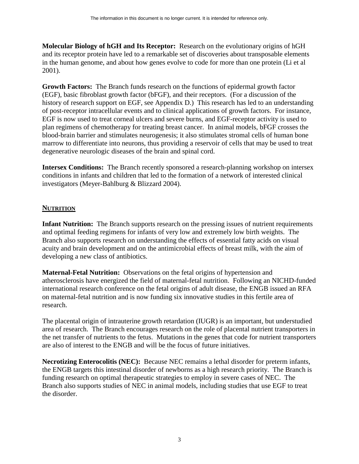<span id="page-6-0"></span>**Molecular Biology of hGH and Its Receptor:** Research on the evolutionary origins of hGH and its receptor protein have led to a remarkable set of discoveries about transposable elements in the human genome, and about how genes evolve to code for more than one protein (Li et al 2001).

**Growth Factors:** The Branch funds research on the functions of epidermal growth factor (EGF), basic fibroblast growth factor (bFGF), and their receptors. (For a discussion of the history of research support on EGF, see Appendix D.) This research has led to an understanding of post-receptor intracellular events and to clinical applications of growth factors. For instance, EGF is now used to treat corneal ulcers and severe burns, and EGF-receptor activity is used to plan regimens of chemotherapy for treating breast cancer. In animal models, bFGF crosses the blood-brain barrier and stimulates neurogenesis; it also stimulates stromal cells of human bone marrow to differentiate into neurons, thus providing a reservoir of cells that may be used to treat degenerative neurologic diseases of the brain and spinal cord.

**Intersex Conditions:** The Branch recently sponsored a research-planning workshop on intersex conditions in infants and children that led to the formation of a network of interested clinical investigators (Meyer-Bahlburg & Blizzard 2004).

# **NUTRITION**

**Infant Nutrition:** The Branch supports research on the pressing issues of nutrient requirements and optimal feeding regimens for infants of very low and extremely low birth weights. The Branch also supports research on understanding the effects of essential fatty acids on visual acuity and brain development and on the antimicrobial effects of breast milk, with the aim of developing a new class of antibiotics.

**Maternal-Fetal Nutrition:** Observations on the fetal origins of hypertension and atherosclerosis have energized the field of maternal-fetal nutrition. Following an NICHD-funded international research conference on the fetal origins of adult disease, the ENGB issued an RFA on maternal-fetal nutrition and is now funding six innovative studies in this fertile area of research.

The placental origin of intrauterine growth retardation (IUGR) is an important, but understudied area of research. The Branch encourages research on the role of placental nutrient transporters in the net transfer of nutrients to the fetus. Mutations in the genes that code for nutrient transporters are also of interest to the ENGB and will be the focus of future initiatives.

**Necrotizing Enterocolitis (NEC):** Because NEC remains a lethal disorder for preterm infants, the ENGB targets this intestinal disorder of newborns as a high research priority. The Branch is funding research on optimal therapeutic strategies to employ in severe cases of NEC. The Branch also supports studies of NEC in animal models, including studies that use EGF to treat the disorder.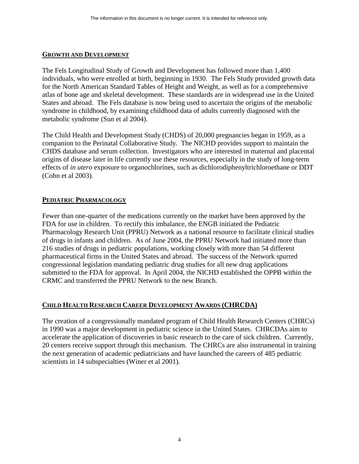#### <span id="page-7-0"></span>**GROWTH AND DEVELOPMENT**

The Fels Longitudinal Study of Growth and Development has followed more than 1,400 individuals, who were enrolled at birth, beginning in 1930. The Fels Study provided growth data for the North American Standard Tables of Height and Weight, as well as for a comprehensive atlas of bone age and skeletal development. These standards are in widespread use in the United States and abroad. The Fels database is now being used to ascertain the origins of the metabolic syndrome in childhood, by examining childhood data of adults currently diagnosed with the metabolic syndrome (Sun et al 2004).

The Child Health and Development Study (CHDS) of 20,000 pregnancies began in 1959, as a companion to the Perinatal Collaborative Study. The NICHD provides support to maintain the CHDS database and serum collection. Investigators who are interested in maternal and placental origins of disease later in life currently use these resources, especially in the study of long-term effects of *in utero* exposure to organochlorines, such as dichlorodiphenyltrichloroethane or DDT (Cohn et al 2003).

# **PEDIATRIC PHARMACOLOGY**

Fewer than one-quarter of the medications currently on the market have been approved by the FDA for use in children. To rectify this imbalance, the ENGB initiated the Pediatric Pharmacology Research Unit (PPRU) Network as a national resource to facilitate clinical studies of drugs in infants and children. As of June 2004, the PPRU Network had initiated more than 216 studies of drugs in pediatric populations, working closely with more than 54 different pharmaceutical firms in the United States and abroad. The success of the Network spurred congressional legislation mandating pediatric drug studies for all new drug applications submitted to the FDA for approval. In April 2004, the NICHD established the OPPB within the CRMC and transferred the PPRU Network to the new Branch.

#### **CHILD HEALTH RESEARCH CAREER DEVELOPMENT AWARDS (CHRCDA)**

The creation of a congressionally mandated program of Child Health Research Centers (CHRCs) in 1990 was a major development in pediatric science in the United States. CHRCDAs aim to accelerate the application of discoveries in basic research to the care of sick children. Currently, 20 centers receive support through this mechanism. The CHRCs are also instrumental in training the next generation of academic pediatricians and have launched the careers of 485 pediatric scientists in 14 subspecialties (Winer et al 2001).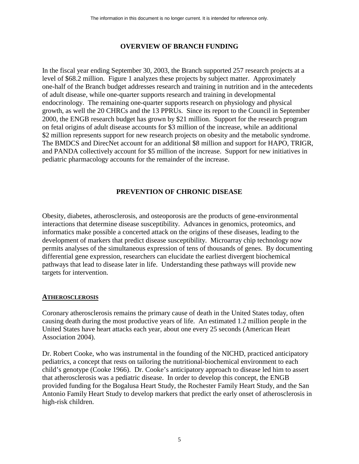# **OVERVIEW OF BRANCH FUNDING**

<span id="page-8-0"></span>level of \$68.2 million. Figure 1 analyzes these projects by subject matter. Approximately In the fiscal year ending September 30, 2003, the Branch supported 257 research projects at a one-half of the Branch budget addresses research and training in nutrition and in the antecedents of adult disease, while one-quarter supports research and training in developmental endocrinology. The remaining one-quarter supports research on physiology and physical growth, as well the 20 CHRCs and the 13 PPRUs. Since its report to the Council in September 2000, the ENGB research budget has grown by \$21 million. Support for the research program on fetal origins of adult disease accounts for \$3 million of the increase, while an additional \$2 million represents support for new research projects on obesity and the metabolic syndrome. The BMDCS and DirecNet account for an additional \$8 million and support for HAPO, TRIGR, and PANDA collectively account for \$5 million of the increase. Support for new initiatives in pediatric pharmacology accounts for the remainder of the increase.

# **PREVENTION OF CHRONIC DISEASE**

Obesity, diabetes, atherosclerosis, and osteoporosis are the products of gene-environmental interactions that determine disease susceptibility. Advances in genomics, proteomics, and informatics make possible a concerted attack on the origins of these diseases, leading to the development of markers that predict disease susceptibility. Microarray chip technology now permits analyses of the simultaneous expression of tens of thousands of genes. By documenting differential gene expression, researchers can elucidate the earliest divergent biochemical pathways that lead to disease later in life. Understanding these pathways will provide new targets for intervention.

#### **ATHEROSCLEROSIS**

Coronary atherosclerosis remains the primary cause of death in the United States today, often causing death during the most productive years of life. An estimated 1.2 million people in the United States have heart attacks each year, about one every 25 seconds (American Heart Association 2004).

Dr. Robert Cooke, who was instrumental in the founding of the NICHD, practiced anticipatory pediatrics, a concept that rests on tailoring the nutritional-biochemical environment to each child's genotype (Cooke 1966). Dr. Cooke's anticipatory approach to disease led him to assert that atherosclerosis was a pediatric disease. In order to develop this concept, the ENGB provided funding for the Bogalusa Heart Study, the Rochester Family Heart Study, and the San Antonio Family Heart Study to develop markers that predict the early onset of atherosclerosis in high-risk children.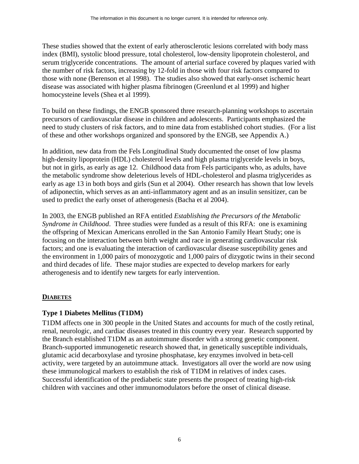<span id="page-9-0"></span>These studies showed that the extent of early atherosclerotic lesions correlated with body mass index (BMI), systolic blood pressure, total cholesterol, low-density lipoprotein cholesterol, and serum triglyceride concentrations. The amount of arterial surface covered by plaques varied with the number of risk factors, increasing by 12-fold in those with four risk factors compared to those with none (Berenson et al 1998). The studies also showed that early-onset ischemic heart disease was associated with higher plasma fibrinogen (Greenlund et al 1999) and higher homocysteine levels (Shea et al 1999).

To build on these findings, the ENGB sponsored three research-planning workshops to ascertain precursors of cardiovascular disease in children and adolescents. Participants emphasized the need to study clusters of risk factors, and to mine data from established cohort studies. (For a list of these and other workshops organized and sponsored by the ENGB, see Appendix A.)

In addition, new data from the Fels Longitudinal Study documented the onset of low plasma high-density lipoprotein (HDL) cholesterol levels and high plasma triglyceride levels in boys, but not in girls, as early as age 12. Childhood data from Fels participants who, as adults, have the metabolic syndrome show deleterious levels of HDL-cholesterol and plasma triglycerides as early as age 13 in both boys and girls (Sun et al 2004). Other research has shown that low levels of adiponectin, which serves as an anti-inflammatory agent and as an insulin sensitizer, can be used to predict the early onset of atherogenesis (Bacha et al 2004).

In 2003, the ENGB published an RFA entitled *Establishing the Precursors of the Metabolic Syndrome in Childhood*. Three studies were funded as a result of this RFA: one is examining the offspring of Mexican Americans enrolled in the San Antonio Family Heart Study; one is focusing on the interaction between birth weight and race in generating cardiovascular risk factors; and one is evaluating the interaction of cardiovascular disease susceptibility genes and the environment in 1,000 pairs of monozygotic and 1,000 pairs of dizygotic twins in their second and third decades of life. These major studies are expected to develop markers for early atherogenesis and to identify new targets for early intervention.

# **DIABETES**

# **Type 1 Diabetes Mellitus (T1DM)**

T1DM affects one in 300 people in the United States and accounts for much of the costly retinal, renal, neurologic, and cardiac diseases treated in this country every year. Research supported by the Branch established T1DM as an autoimmune disorder with a strong genetic component. Branch-supported immunogenetic research showed that, in genetically susceptible individuals, glutamic acid decarboxylase and tyrosine phosphatase, key enzymes involved in beta-cell activity, were targeted by an autoimmune attack. Investigators all over the world are now using these immunological markers to establish the risk of T1DM in relatives of index cases. Successful identification of the prediabetic state presents the prospect of treating high-risk children with vaccines and other immunomodulators before the onset of clinical disease.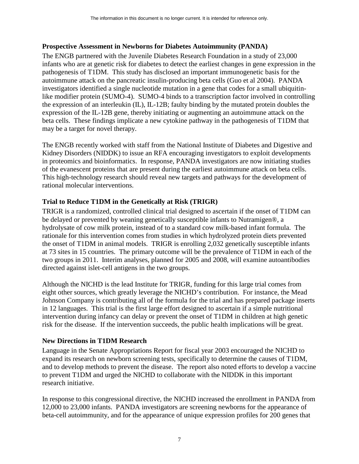#### **Prospective Assessment in Newborns for Diabetes Autoimmunity (PANDA)**

may be a target for novel therapy. The ENGB partnered with the Juvenile Diabetes Research Foundation in a study of 23,000 infants who are at genetic risk for diabetes to detect the earliest changes in gene expression in the pathogenesis of T1DM. This study has disclosed an important immunogenetic basis for the autoimmune attack on the pancreatic insulin-producing beta cells (Guo et al 2004). PANDA investigators identified a single nucleotide mutation in a gene that codes for a small ubiquitinlike modifier protein (SUMO-4). SUMO-4 binds to a transcription factor involved in controlling the expression of an interleukin (IL), IL-12B; faulty binding by the mutated protein doubles the expression of the IL-12B gene, thereby initiating or augmenting an autoimmune attack on the beta cells. These findings implicate a new cytokine pathway in the pathogenesis of T1DM that

The ENGB recently worked with staff from the National Institute of Diabetes and Digestive and Kidney Disorders (NIDDK) to issue an RFA encouraging investigators to exploit developments in proteomics and bioinformatics. In response, PANDA investigators are now initiating studies of the evanescent proteins that are present during the earliest autoimmune attack on beta cells. This high-technology research should reveal new targets and pathways for the development of rational molecular interventions.

# **Trial to Reduce T1DM in the Genetically at Risk (TRIGR)**

TRIGR is a randomized, controlled clinical trial designed to ascertain if the onset of T1DM can be delayed or prevented by weaning genetically susceptible infants to Nutramigen®, a hydrolysate of cow milk protein, instead of to a standard cow milk-based infant formula. The rationale for this intervention comes from studies in which hydrolyzed protein diets prevented the onset of T1DM in animal models. TRIGR is enrolling 2,032 genetically susceptible infants at 73 sites in 15 countries. The primary outcome will be the prevalence of T1DM in each of the two groups in 2011. Interim analyses, planned for 2005 and 2008, will examine autoantibodies directed against islet-cell antigens in the two groups.

Although the NICHD is the lead Institute for TRIGR, funding for this large trial comes from eight other sources, which greatly leverage the NICHD's contribution. For instance, the Mead Johnson Company is contributing all of the formula for the trial and has prepared package inserts in 12 languages. This trial is the first large effort designed to ascertain if a simple nutritional intervention during infancy can delay or prevent the onset of T1DM in children at high genetic risk for the disease. If the intervention succeeds, the public health implications will be great.

#### **New Directions in T1DM Research**

Language in the Senate Appropriations Report for fiscal year 2003 encouraged the NICHD to expand its research on newborn screening tests, specifically to determine the causes of T1DM, and to develop methods to prevent the disease. The report also noted efforts to develop a vaccine to prevent T1DM and urged the NICHD to collaborate with the NIDDK in this important research initiative.

In response to this congressional directive, the NICHD increased the enrollment in PANDA from 12,000 to 23,000 infants. PANDA investigators are screening newborns for the appearance of beta-cell autoimmunity, and for the appearance of unique expression profiles for 200 genes that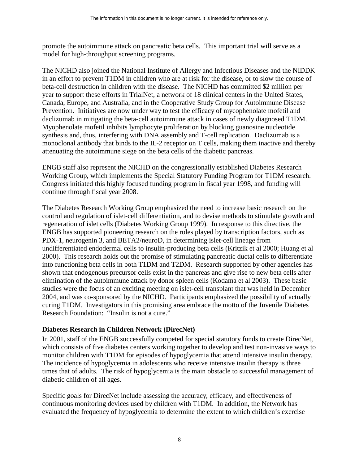promote the autoimmune attack on pancreatic beta cells. This important trial will serve as a model for high-throughput screening programs.

The NICHD also joined the National Institute of Allergy and Infectious Diseases and the NIDDK in an effort to prevent T1DM in children who are at risk for the disease, or to slow the course of beta-cell destruction in children with the disease. The NICHD has committed \$2 million per year to support these efforts in TrialNet, a network of 18 clinical centers in the United States, Canada, Europe, and Australia, and in the Cooperative Study Group for Autoimmune Disease Prevention. Initiatives are now under way to test the efficacy of mycophenolate mofetil and daclizumab in mitigating the beta-cell autoimmune attack in cases of newly diagnosed T1DM. Myophenolate mofetil inhibits lymphocyte proliferation by blocking guanosine nucleotide synthesis and, thus, interfering with DNA assembly and T-cell replication. Daclizumab is a monoclonal antibody that binds to the IL-2 receptor on T cells, making them inactive and thereby attenuating the autoimmune siege on the beta cells of the diabetic pancreas.

ENGB staff also represent the NICHD on the congressionally established Diabetes Research Working Group, which implements the Special Statutory Funding Program for T1DM research. Congress initiated this highly focused funding program in fiscal year 1998, and funding will continue through fiscal year 2008.

The Diabetes Research Working Group emphasized the need to increase basic research on the control and regulation of islet-cell differentiation, and to devise methods to stimulate growth and regeneration of islet cells (Diabetes Working Group 1999). In response to this directive, the ENGB has supported pioneering research on the roles played by transcription factors, such as PDX-1, neurogenin 3, and BETA2/neuroD, in determining islet-cell lineage from undifferentiated endodermal cells to insulin-producing beta cells (Kritzik et al 2000; Huang et al 2000). This research holds out the promise of stimulating pancreatic ductal cells to differentiate into functioning beta cells in both T1DM and T2DM. Research supported by other agencies has shown that endogenous precursor cells exist in the pancreas and give rise to new beta cells after elimination of the autoimmune attack by donor spleen cells (Kodama et al 2003). These basic studies were the focus of an exciting meeting on islet-cell transplant that was held in December 2004, and was co-sponsored by the NICHD. Participants emphasized the possibility of actually curing T1DM. Investigators in this promising area embrace the motto of the Juvenile Diabetes Research Foundation: "Insulin is not a cure."

# **Diabetes Research in Children Network (DirecNet)**

 monitor children with T1DM for episodes of hypoglycemia that attend intensive insulin therapy. The incidence of hypoglycemia in adolescents who receive intensive insulin therapy is three In 2001, staff of the ENGB successfully competed for special statutory funds to create DirecNet, which consists of five diabetes centers working together to develop and test non-invasive ways to times that of adults. The risk of hypoglycemia is the main obstacle to successful management of diabetic children of all ages.

Specific goals for DirecNet include assessing the accuracy, efficacy, and effectiveness of continuous monitoring devices used by children with T1DM. In addition, the Network has evaluated the frequency of hypoglycemia to determine the extent to which children's exercise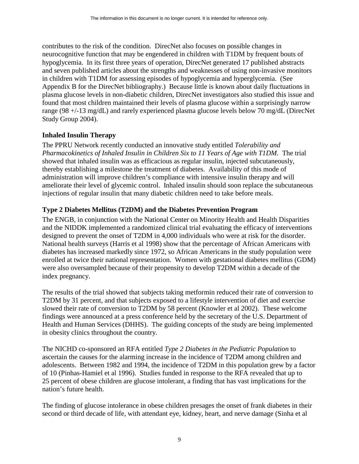contributes to the risk of the condition. DirecNet also focuses on possible changes in neurocognitive function that may be engendered in children with T1DM by frequent bouts of hypoglycemia. In its first three years of operation, DirecNet generated 17 published abstracts and seven published articles about the strengths and weaknesses of using non-invasive monitors in children with T1DM for assessing episodes of hypoglycemia and hyperglycemia. (See Appendix B for the DirecNet bibliography.) Because little is known about daily fluctuations in plasma glucose levels in non-diabetic children, DirecNet investigators also studied this issue and found that most children maintained their levels of plasma glucose within a surprisingly narrow range (98 +/-13 mg/dL) and rarely experienced plasma glucose levels below 70 mg/dL (DirecNet Study Group 2004).

#### **Inhaled Insulin Therapy**

The PPRU Network recently conducted an innovative study entitled *Tolerability and Pharmacokinetics of Inhaled Insulin in Children Six to 11 Years of Age with T1DM.* The trial showed that inhaled insulin was as efficacious as regular insulin, injected subcutaneously, thereby establishing a milestone the treatment of diabetes. Availability of this mode of administration will improve children's compliance with intensive insulin therapy and will ameliorate their level of glycemic control. Inhaled insulin should soon replace the subcutaneous injections of regular insulin that many diabetic children need to take before meals.

# **Type 2 Diabetes Mellitus (T2DM) and the Diabetes Prevention Program**

The ENGB, in conjunction with the National Center on Minority Health and Health Disparities and the NIDDK implemented a randomized clinical trial evaluating the efficacy of interventions designed to prevent the onset of T2DM in 4,000 individuals who were at risk for the disorder. National health surveys (Harris et al 1998) show that the percentage of African Americans with diabetes has increased markedly since 1972, so African Americans in the study population were enrolled at twice their national representation. Women with gestational diabetes mellitus (GDM) were also oversampled because of their propensity to develop T2DM within a decade of the index pregnancy.

The results of the trial showed that subjects taking metformin reduced their rate of conversion to T2DM by 31 percent, and that subjects exposed to a lifestyle intervention of diet and exercise slowed their rate of conversion to T2DM by 58 percent (Knowler et al 2002). These welcome findings were announced at a press conference held by the secretary of the U.S. Department of Health and Human Services (DHHS). The guiding concepts of the study are being implemented in obesity clinics throughout the country.

The NICHD co-sponsored an RFA entitled *Type 2 Diabetes in the Pediatric Population* to ascertain the causes for the alarming increase in the incidence of T2DM among children and adolescents. Between 1982 and 1994, the incidence of T2DM in this population grew by a factor of 10 (Pinhas-Hamiel et al 1996). Studies funded in response to the RFA revealed that up to 25 percent of obese children are glucose intolerant, a finding that has vast implications for the nation's future health.

The finding of glucose intolerance in obese children presages the onset of frank diabetes in their second or third decade of life, with attendant eye, kidney, heart, and nerve damage (Sinha et al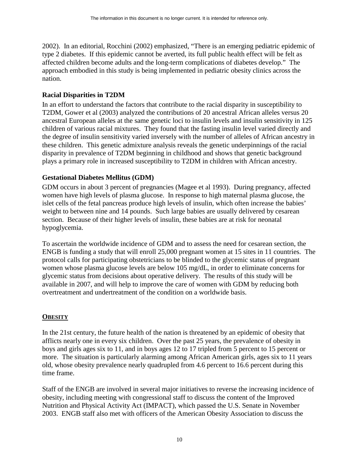<span id="page-13-0"></span>2002). In an editorial, Rocchini (2002) emphasized, "There is an emerging pediatric epidemic of type 2 diabetes. If this epidemic cannot be averted, its full public health effect will be felt as affected children become adults and the long-term complications of diabetes develop." The approach embodied in this study is being implemented in pediatric obesity clinics across the nation.

# **Racial Disparities in T2DM**

 plays a primary role in increased susceptibility to T2DM in children with African ancestry. In an effort to understand the factors that contribute to the racial disparity in susceptibility to T2DM, Gower et al (2003) analyzed the contributions of 20 ancestral African alleles versus 20 ancestral European alleles at the same genetic loci to insulin levels and insulin sensitivity in 125 children of various racial mixtures. They found that the fasting insulin level varied directly and the degree of insulin sensitivity varied inversely with the number of alleles of African ancestry in these children. This genetic admixture analysis reveals the genetic underpinnings of the racial disparity in prevalence of T2DM beginning in childhood and shows that genetic background

# **Gestational Diabetes Mellitus (GDM)**

GDM occurs in about 3 percent of pregnancies (Magee et al 1993). During pregnancy, affected women have high levels of plasma glucose. In response to high maternal plasma glucose, the islet cells of the fetal pancreas produce high levels of insulin, which often increase the babies' weight to between nine and 14 pounds. Such large babies are usually delivered by cesarean section. Because of their higher levels of insulin, these babies are at risk for neonatal hypoglycemia.

To ascertain the worldwide incidence of GDM and to assess the need for cesarean section, the ENGB is funding a study that will enroll 25,000 pregnant women at 15 sites in 11 countries. The protocol calls for participating obstetricians to be blinded to the glycemic status of pregnant women whose plasma glucose levels are below 105 mg/dL, in order to eliminate concerns for glycemic status from decisions about operative delivery. The results of this study will be available in 2007, and will help to improve the care of women with GDM by reducing both overtreatment and undertreatment of the condition on a worldwide basis.

#### **OBESITY**

In the 21st century, the future health of the nation is threatened by an epidemic of obesity that afflicts nearly one in every six children. Over the past 25 years, the prevalence of obesity in boys and girls ages six to 11, and in boys ages 12 to 17 tripled from 5 percent to 15 percent or more. The situation is particularly alarming among African American girls, ages six to 11 years old, whose obesity prevalence nearly quadrupled from 4.6 percent to 16.6 percent during this time frame.

Staff of the ENGB are involved in several major initiatives to reverse the increasing incidence of obesity, including meeting with congressional staff to discuss the content of the Improved Nutrition and Physical Activity Act (IMPACT), which passed the U.S. Senate in November 2003. ENGB staff also met with officers of the American Obesity Association to discuss the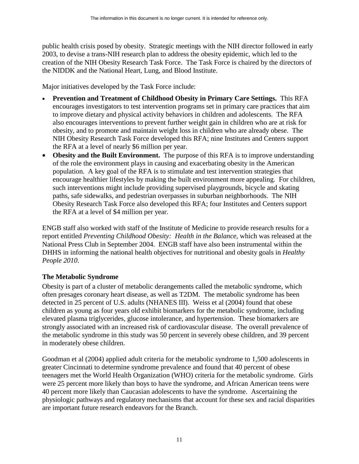public health crisis posed by obesity. Strategic meetings with the NIH director followed in early 2003, to devise a trans-NIH research plan to address the obesity epidemic, which led to the creation of the NIH Obesity Research Task Force. The Task Force is chaired by the directors of the NIDDK and the National Heart, Lung, and Blood Institute.

Major initiatives developed by the Task Force include:

- **Prevention and Treatment of Childhood Obesity in Primary Care Settings.** This RFA encourages investigators to test intervention programs set in primary care practices that aim to improve dietary and physical activity behaviors in children and adolescents. The RFA also encourages interventions to prevent further weight gain in children who are at risk for obesity, and to promote and maintain weight loss in children who are already obese. The NIH Obesity Research Task Force developed this RFA; nine Institutes and Centers support the RFA at a level of nearly \$6 million per year.
- **Obesity and the Built Environment.** The purpose of this RFA is to improve understanding of the role the environment plays in causing and exacerbating obesity in the American population. A key goal of the RFA is to stimulate and test intervention strategies that encourage healthier lifestyles by making the built environment more appealing. For children, such interventions might include providing supervised playgrounds, bicycle and skating paths, safe sidewalks, and pedestrian overpasses in suburban neighborhoods. The NIH Obesity Research Task Force also developed this RFA; four Institutes and Centers support the RFA at a level of \$4 million per year.

ENGB staff also worked with staff of the Institute of Medicine to provide research results for a report entitled *Preventing Childhood Obesity: Health in the Balance*, which was released at the National Press Club in September 2004. ENGB staff have also been instrumental within the DHHS in informing the national health objectives for nutritional and obesity goals in *Healthy People 2010*.

# **The Metabolic Syndrome**

Obesity is part of a cluster of metabolic derangements called the metabolic syndrome, which often presages coronary heart disease, as well as T2DM. The metabolic syndrome has been detected in 25 percent of U.S. adults (NHANES III). Weiss et al (2004) found that obese children as young as four years old exhibit biomarkers for the metabolic syndrome, including elevated plasma triglycerides, glucose intolerance, and hypertension. These biomarkers are strongly associated with an increased risk of cardiovascular disease. The overall prevalence of the metabolic syndrome in this study was 50 percent in severely obese children, and 39 percent in moderately obese children.

Goodman et al (2004) applied adult criteria for the metabolic syndrome to 1,500 adolescents in greater Cincinnati to determine syndrome prevalence and found that 40 percent of obese teenagers met the World Health Organization (WHO) criteria for the metabolic syndrome. Girls were 25 percent more likely than boys to have the syndrome, and African American teens were 40 percent more likely than Caucasian adolescents to have the syndrome. Ascertaining the physiologic pathways and regulatory mechanisms that account for these sex and racial disparities are important future research endeavors for the Branch.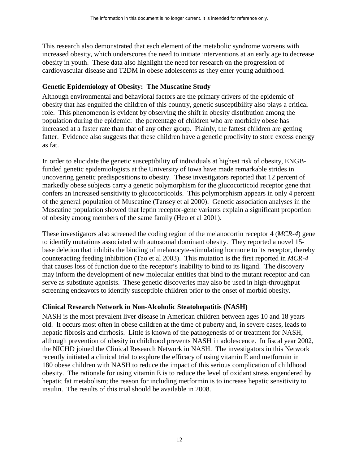This research also demonstrated that each element of the metabolic syndrome worsens with increased obesity, which underscores the need to initiate interventions at an early age to decrease obesity in youth. These data also highlight the need for research on the progression of cardiovascular disease and T2DM in obese adolescents as they enter young adulthood.

#### **Genetic Epidemiology of Obesity: The Muscatine Study**

Although environmental and behavioral factors are the primary drivers of the epidemic of obesity that has engulfed the children of this country, genetic susceptibility also plays a critical role. This phenomenon is evident by observing the shift in obesity distribution among the population during the epidemic: the percentage of children who are morbidly obese has increased at a faster rate than that of any other group. Plainly, the fattest children are getting fatter. Evidence also suggests that these children have a genetic proclivity to store excess energy as fat.

In order to elucidate the genetic susceptibility of individuals at highest risk of obesity, ENGBfunded genetic epidemiologists at the University of Iowa have made remarkable strides in uncovering genetic predispositions to obesity. These investigators reported that 12 percent of markedly obese subjects carry a genetic polymorphism for the glucocorticoid receptor gene that confers an increased sensitivity to glucocorticoids. This polymorphism appears in only 4 percent of the general population of Muscatine (Tansey et al 2000). Genetic association analyses in the Muscatine population showed that leptin receptor-gene variants explain a significant proportion of obesity among members of the same family (Heo et al 2001).

These investigators also screened the coding region of the melanocortin receptor 4 (*MCR-4*) gene to identify mutations associated with autosomal dominant obesity. They reported a novel 15 base deletion that inhibits the binding of melanocyte-stimulating hormone to its receptor, thereby counteracting feeding inhibition (Tao et al 2003). This mutation is the first reported in *MCR-4*  that causes loss of function due to the receptor's inability to bind to its ligand. The discovery may inform the development of new molecular entities that bind to the mutant receptor and can serve as substitute agonists. These genetic discoveries may also be used in high-throughput screening endeavors to identify susceptible children prior to the onset of morbid obesity.

# **Clinical Research Network in Non-Alcoholic Steatohepatitis (NASH)**

NASH is the most prevalent liver disease in American children between ages 10 and 18 years old. It occurs most often in obese children at the time of puberty and, in severe cases, leads to hepatic fibrosis and cirrhosis. Little is known of the pathogenesis of or treatment for NASH, although prevention of obesity in childhood prevents NASH in adolescence. In fiscal year 2002, the NICHD joined the Clinical Research Network in NASH. The investigators in this Network recently initiated a clinical trial to explore the efficacy of using vitamin E and metformin in 180 obese children with NASH to reduce the impact of this serious complication of childhood obesity. The rationale for using vitamin E is to reduce the level of oxidant stress engendered by hepatic fat metabolism; the reason for including metformin is to increase hepatic sensitivity to insulin. The results of this trial should be available in 2008.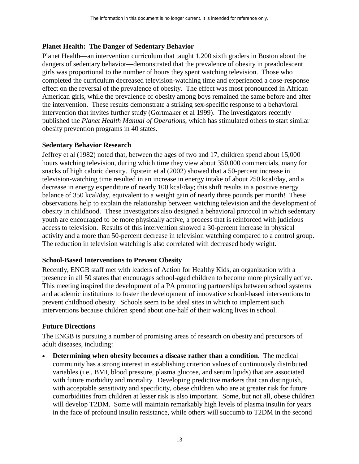# **Planet Health: The Danger of Sedentary Behavior**

Planet Health—an intervention curriculum that taught 1,200 sixth graders in Boston about the dangers of sedentary behavior—demonstrated that the prevalence of obesity in preadolescent girls was proportional to the number of hours they spent watching television. Those who completed the curriculum decreased television-watching time and experienced a dose-response effect on the reversal of the prevalence of obesity. The effect was most pronounced in African American girls, while the prevalence of obesity among boys remained the same before and after the intervention. These results demonstrate a striking sex-specific response to a behavioral intervention that invites further study (Gortmaker et al 1999). The investigators recently published the *Planet Health Manual of Operations*, which has stimulated others to start similar obesity prevention programs in 40 states.

#### **Sedentary Behavior Research**

Jeffrey et al (1982) noted that, between the ages of two and 17, children spend about 15,000 hours watching television, during which time they view about 350,000 commercials, many for snacks of high caloric density. Epstein et al (2002) showed that a 50-percent increase in television-watching time resulted in an increase in energy intake of about 250 kcal/day, and a decrease in energy expenditure of nearly 100 kcal/day; this shift results in a positive energy balance of 350 kcal/day, equivalent to a weight gain of nearly three pounds per month! These observations help to explain the relationship between watching television and the development of obesity in childhood. These investigators also designed a behavioral protocol in which sedentary youth are encouraged to be more physically active, a process that is reinforced with judicious access to television. Results of this intervention showed a 30-percent increase in physical activity and a more than 50-percent decrease in television watching compared to a control group. The reduction in television watching is also correlated with decreased body weight.

#### **School-Based Interventions to Prevent Obesity**

Recently, ENGB staff met with leaders of Action for Healthy Kids, an organization with a presence in all 50 states that encourages school-aged children to become more physically active. This meeting inspired the development of a PA promoting partnerships between school systems and academic institutions to foster the development of innovative school-based interventions to prevent childhood obesity. Schools seem to be ideal sites in which to implement such interventions because children spend about one-half of their waking lives in school.

# **Future Directions**

The ENGB is pursuing a number of promising areas of research on obesity and precursors of adult diseases, including:

• Determining when obesity becomes a disease rather than a condition. The medical community has a strong interest in establishing criterion values of continuously distributed variables (i.e., BMI, blood pressure, plasma glucose, and serum lipids) that are associated with future morbidity and mortality. Developing predictive markers that can distinguish, with acceptable sensitivity and specificity, obese children who are at greater risk for future comorbidities from children at lesser risk is also important. Some, but not all, obese children will develop T2DM. Some will maintain remarkably high levels of plasma insulin for years in the face of profound insulin resistance, while others will succumb to T2DM in the second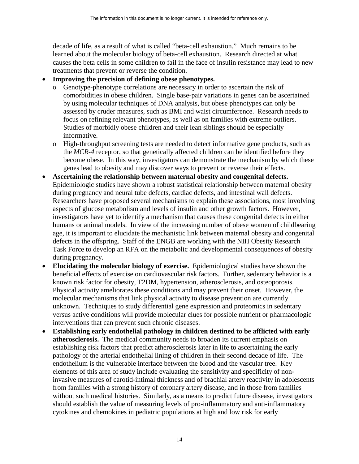decade of life, as a result of what is called "beta-cell exhaustion." Much remains to be learned about the molecular biology of beta-cell exhaustion. Research directed at what causes the beta cells in some children to fail in the face of insulin resistance may lead to new treatments that prevent or reverse the condition.

# • **Improving the precision of defining obese phenotypes.**

- o Genotype-phenotype correlations are necessary in order to ascertain the risk of comorbidities in obese children. Single base-pair variations in genes can be ascertained by using molecular techniques of DNA analysis, but obese phenotypes can only be assessed by cruder measures, such as BMI and waist circumference. Research needs to focus on refining relevant phenotypes, as well as on families with extreme outliers. Studies of morbidly obese children and their lean siblings should be especially informative.
- o High-throughput screening tests are needed to detect informative gene products, such as the *MCR-4* receptor, so that genetically affected children can be identified before they become obese. In this way, investigators can demonstrate the mechanism by which these genes lead to obesity and may discover ways to prevent or reverse their effects.
- • **Ascertaining the relationship between maternal obesity and congenital defects.** Epidemiologic studies have shown a robust statistical relationship between maternal obesity during pregnancy and neural tube defects, cardiac defects, and intestinal wall defects. Researchers have proposed several mechanisms to explain these associations, most involving aspects of glucose metabolism and levels of insulin and other growth factors. However, investigators have yet to identify a mechanism that causes these congenital defects in either humans or animal models. In view of the increasing number of obese women of childbearing age, it is important to elucidate the mechanistic link between maternal obesity and congenital defects in the offspring. Staff of the ENGB are working with the NIH Obesity Research Task Force to develop an RFA on the metabolic and developmental consequences of obesity during pregnancy.
- **Elucidating the molecular biology of exercise.** Epidemiological studies have shown the beneficial effects of exercise on cardiovascular risk factors. Further, sedentary behavior is a known risk factor for obesity, T2DM, hypertension, atherosclerosis, and osteoporosis. Physical activity ameliorates these conditions and may prevent their onset. However, the molecular mechanisms that link physical activity to disease prevention are currently unknown. Techniques to study differential gene expression and proteomics in sedentary versus active conditions will provide molecular clues for possible nutrient or pharmacologic interventions that can prevent such chronic diseases.
- Establishing early endothelial pathology in children destined to be afflicted with early **atherosclerosis.** The medical community needs to broaden its current emphasis on establishing risk factors that predict atherosclerosis later in life to ascertaining the early pathology of the arterial endothelial lining of children in their second decade of life. The endothelium is the vulnerable interface between the blood and the vascular tree. Key elements of this area of study include evaluating the sensitivity and specificity of noninvasive measures of carotid-intimal thickness and of brachial artery reactivity in adolescents from families with a strong history of coronary artery disease, and in those from families without such medical histories. Similarly, as a means to predict future disease, investigators should establish the value of measuring levels of pro-inflammatory and anti-inflammatory cytokines and chemokines in pediatric populations at high and low risk for early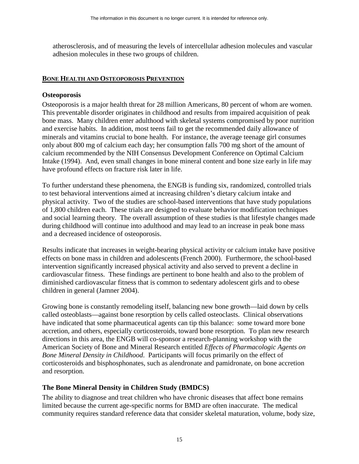<span id="page-18-0"></span>atherosclerosis, and of measuring the levels of intercellular adhesion molecules and vascular adhesion molecules in these two groups of children.

#### **BONE HEALTH AND OSTEOPOROSIS PREVENTION**

#### **Osteoporosis**

Osteoporosis is a major health threat for 28 million Americans, 80 percent of whom are women. This preventable disorder originates in childhood and results from impaired acquisition of peak bone mass. Many children enter adulthood with skeletal systems compromised by poor nutrition and exercise habits. In addition, most teens fail to get the recommended daily allowance of minerals and vitamins crucial to bone health. For instance, the average teenage girl consumes only about 800 mg of calcium each day; her consumption falls 700 mg short of the amount of calcium recommended by the NIH Consensus Development Conference on Optimal Calcium Intake (1994). And, even small changes in bone mineral content and bone size early in life may have profound effects on fracture risk later in life.

To further understand these phenomena, the ENGB is funding six, randomized, controlled trials to test behavioral interventions aimed at increasing children's dietary calcium intake and physical activity. Two of the studies are school-based interventions that have study populations of 1,800 children each. These trials are designed to evaluate behavior modification techniques and social learning theory. The overall assumption of these studies is that lifestyle changes made during childhood will continue into adulthood and may lead to an increase in peak bone mass and a decreased incidence of osteoporosis.

Results indicate that increases in weight-bearing physical activity or calcium intake have positive effects on bone mass in children and adolescents (French 2000). Furthermore, the school-based intervention significantly increased physical activity and also served to prevent a decline in cardiovascular fitness. These findings are pertinent to bone health and also to the problem of diminished cardiovascular fitness that is common to sedentary adolescent girls and to obese children in general (Jamner 2004).

Growing bone is constantly remodeling itself, balancing new bone growth—laid down by cells called osteoblasts—against bone resorption by cells called osteoclasts. Clinical observations have indicated that some pharmaceutical agents can tip this balance: some toward more bone accretion, and others, especially corticosteroids, toward bone resorption. To plan new research directions in this area, the ENGB will co-sponsor a research-planning workshop with the American Society of Bone and Mineral Research entitled *Effects of Pharmacologic Agents on Bone Mineral Density in Childhood*. Participants will focus primarily on the effect of corticosteroids and bisphosphonates, such as alendronate and pamidronate, on bone accretion and resorption.

#### **The Bone Mineral Density in Children Study (BMDCS)**

The ability to diagnose and treat children who have chronic diseases that affect bone remains limited because the current age-specific norms for BMD are often inaccurate. The medical community requires standard reference data that consider skeletal maturation, volume, body size,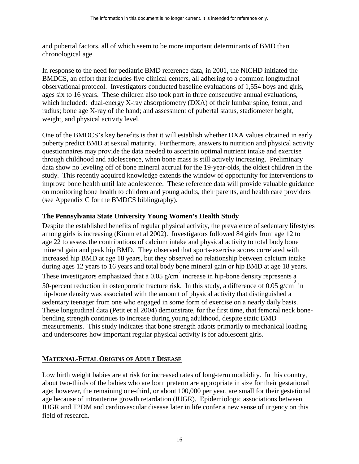<span id="page-19-0"></span>and pubertal factors, all of which seem to be more important determinants of BMD than chronological age.

In response to the need for pediatric BMD reference data, in 2001, the NICHD initiated the BMDCS, an effort that includes five clinical centers, all adhering to a common longitudinal observational protocol. Investigators conducted baseline evaluations of 1,554 boys and girls, ages six to 16 years. These children also took part in three consecutive annual evaluations, which included: dual-energy X-ray absorptiometry (DXA) of their lumbar spine, femur, and radius; bone age X-ray of the hand; and assessment of pubertal status, stadiometer height, weight, and physical activity level.

One of the BMDCS's key benefits is that it will establish whether DXA values obtained in early puberty predict BMD at sexual maturity. Furthermore, answers to nutrition and physical activity questionnaires may provide the data needed to ascertain optimal nutrient intake and exercise through childhood and adolescence, when bone mass is still actively increasing. Preliminary data show no leveling off of bone mineral accrual for the 19-year-olds, the oldest children in the study. This recently acquired knowledge extends the window of opportunity for interventions to improve bone health until late adolescence. These reference data will provide valuable guidance on monitoring bone health to children and young adults, their parents, and health care providers (see Appendix C for the BMDCS bibliography).

# **The Pennsylvania State University Young Women's Health Study**

Despite the established benefits of regular physical activity, the prevalence of sedentary lifestyles among girls is increasing (Kimm et al 2002). Investigators followed 84 girls from age 12 to age 22 to assess the contributions of calcium intake and physical activity to total body bone mineral gain and peak hip BMD. They observed that sports-exercise scores correlated with increased hip BMD at age 18 years, but they observed no relationship between calcium intake during ages 12 years to 16 years and total body bone mineral gain or hip BMD at age 18 years. These investigators emphasized that a 0.05  $g/cm^2$  increase in hip-bone density represents a 50-percent reduction in osteoporotic fracture risk. In this study, a difference of 0.05 g/cm<sup>2</sup> in hip-bone density was associated with the amount of physical activity that distinguished a sedentary teenager from one who engaged in some form of exercise on a nearly daily basis. These longitudinal data (Petit et al 2004) demonstrate, for the first time, that femoral neck bonebending strength continues to increase during young adulthood, despite static BMD measurements. This study indicates that bone strength adapts primarily to mechanical loading and underscores how important regular physical activity is for adolescent girls.

#### **MATERNAL-FETAL ORIGINS OF ADULT DISEASE**

Low birth weight babies are at risk for increased rates of long-term morbidity. In this country, about two-thirds of the babies who are born preterm are appropriate in size for their gestational age; however, the remaining one-third, or about 100,000 per year, are small for their gestational age because of intrauterine growth retardation (IUGR). Epidemiologic associations between IUGR and T2DM and cardiovascular disease later in life confer a new sense of urgency on this field of research.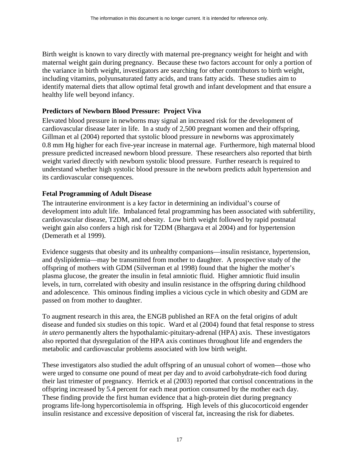healthy life well beyond infancy. Birth weight is known to vary directly with maternal pre-pregnancy weight for height and with maternal weight gain during pregnancy. Because these two factors account for only a portion of the variance in birth weight, investigators are searching for other contributors to birth weight, including vitamins, polyunsaturated fatty acids, and trans fatty acids. These studies aim to identify maternal diets that allow optimal fetal growth and infant development and that ensure a

#### **Predictors of Newborn Blood Pressure: Project Viva**

Elevated blood pressure in newborns may signal an increased risk for the development of cardiovascular disease later in life. In a study of 2,500 pregnant women and their offspring, Gillman et al (2004) reported that systolic blood pressure in newborns was approximately 0.8 mm Hg higher for each five-year increase in maternal age. Furthermore, high maternal blood pressure predicted increased newborn blood pressure. These researchers also reported that birth weight varied directly with newborn systolic blood pressure. Further research is required to understand whether high systolic blood pressure in the newborn predicts adult hypertension and its cardiovascular consequences.

#### **Fetal Programming of Adult Disease**

The intrauterine environment is a key factor in determining an individual's course of development into adult life. Imbalanced fetal programming has been associated with subfertility, cardiovascular disease, T2DM, and obesity. Low birth weight followed by rapid postnatal weight gain also confers a high risk for T2DM (Bhargava et al 2004) and for hypertension (Demerath et al 1999).

Evidence suggests that obesity and its unhealthy companions—insulin resistance, hypertension, and dyslipidemia—may be transmitted from mother to daughter. A prospective study of the offspring of mothers with GDM (Silverman et al 1998) found that the higher the mother's plasma glucose, the greater the insulin in fetal amniotic fluid. Higher amniotic fluid insulin levels, in turn, correlated with obesity and insulin resistance in the offspring during childhood and adolescence. This ominous finding implies a vicious cycle in which obesity and GDM are passed on from mother to daughter.

To augment research in this area, the ENGB published an RFA on the fetal origins of adult disease and funded six studies on this topic. Ward et al (2004) found that fetal response to stress *in utero* permanently alters the hypothalamic-pituitary-adrenal (HPA) axis. These investigators also reported that dysregulation of the HPA axis continues throughout life and engenders the metabolic and cardiovascular problems associated with low birth weight.

 offspring increased by 5.4 percent for each meat portion consumed by the mother each day. These finding provide the first human evidence that a high-protein diet during pregnancy These investigators also studied the adult offspring of an unusual cohort of women—those who were urged to consume one pound of meat per day and to avoid carbohydrate-rich food during their last trimester of pregnancy. Herrick et al (2003) reported that cortisol concentrations in the programs life-long hypercortisolemia in offspring. High levels of this glucocorticoid engender insulin resistance and excessive deposition of visceral fat, increasing the risk for diabetes.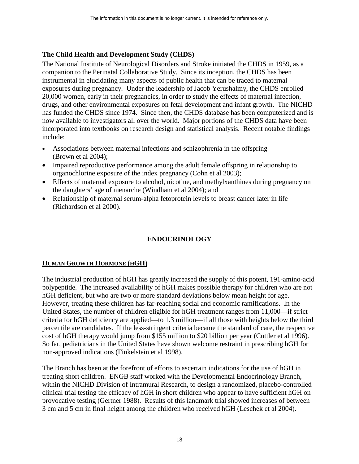# <span id="page-21-0"></span>**The Child Health and Development Study (CHDS)**

The National Institute of Neurological Disorders and Stroke initiated the CHDS in 1959, as a companion to the Perinatal Collaborative Study. Since its inception, the CHDS has been instrumental in elucidating many aspects of public health that can be traced to maternal exposures during pregnancy. Under the leadership of Jacob Yerushalmy, the CHDS enrolled 20,000 women, early in their pregnancies, in order to study the effects of maternal infection, drugs, and other environmental exposures on fetal development and infant growth. The NICHD has funded the CHDS since 1974. Since then, the CHDS database has been computerized and is now available to investigators all over the world. Major portions of the CHDS data have been incorporated into textbooks on research design and statistical analysis. Recent notable findings include:

- Associations between maternal infections and schizophrenia in the offspring (Brown et al 2004);
- Impaired reproductive performance among the adult female offspring in relationship to organochlorine exposure of the index pregnancy (Cohn et al 2003);
- Effects of maternal exposure to alcohol, nicotine, and methylxanthines during pregnancy on the daughters' age of menarche (Windham et al 2004); and
- Relationship of maternal serum-alpha fetoprotein levels to breast cancer later in life (Richardson et al 2000).

# **ENDOCRINOLOGY**

# **HUMAN GROWTH HORMONE (HGH)**

The industrial production of hGH has greatly increased the supply of this potent, 191-amino-acid polypeptide. The increased availability of hGH makes possible therapy for children who are not hGH deficient, but who are two or more standard deviations below mean height for age. However, treating these children has far-reaching social and economic ramifications. In the United States, the number of children eligible for hGH treatment ranges from 11,000—if strict criteria for hGH deficiency are applied—to 1.3 million—if all those with heights below the third percentile are candidates. If the less-stringent criteria became the standard of care, the respective cost of hGH therapy would jump from \$155 million to \$20 billion per year (Cuttler et al 1996). So far, pediatricians in the United States have shown welcome restraint in prescribing hGH for non-approved indications (Finkelstein et al 1998).

The Branch has been at the forefront of efforts to ascertain indications for the use of hGH in treating short children. ENGB staff worked with the Developmental Endocrinology Branch, within the NICHD Division of Intramural Research, to design a randomized, placebo-controlled clinical trial testing the efficacy of hGH in short children who appear to have sufficient hGH on provocative testing (Gertner 1988). Results of this landmark trial showed increases of between 3 cm and 5 cm in final height among the children who received hGH (Leschek et al 2004).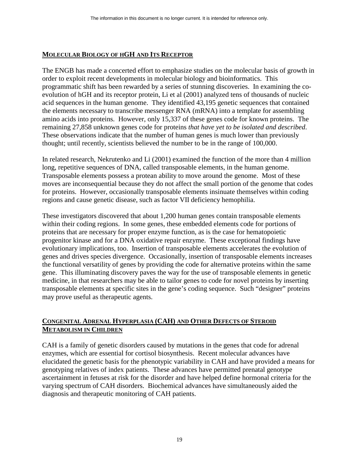#### <span id="page-22-0"></span>**MOLECULAR BIOLOGY OF HGH AND ITS RECEPTOR**

remaining 27,858 unknown genes code for proteins *that have yet to be isolated and described*.<br>These observations indicate that the number of human genes is much lower than previously The ENGB has made a concerted effort to emphasize studies on the molecular basis of growth in order to exploit recent developments in molecular biology and bioinformatics. This programmatic shift has been rewarded by a series of stunning discoveries. In examining the coevolution of hGH and its receptor protein, Li et al (2001) analyzed tens of thousands of nucleic acid sequences in the human genome. They identified 43,195 genetic sequences that contained the elements necessary to transcribe messenger RNA (mRNA) into a template for assembling amino acids into proteins. However, only 15,337 of these genes code for known proteins. The thought; until recently, scientists believed the number to be in the range of 100,000.

In related research, Nekrutenko and Li (2001) examined the function of the more than 4 million long, repetitive sequences of DNA, called transposable elements, in the human genome. Transposable elements possess a protean ability to move around the genome. Most of these moves are inconsequential because they do not affect the small portion of the genome that codes for proteins. However, occasionally transposable elements insinuate themselves within coding regions and cause genetic disease, such as factor VII deficiency hemophilia.

These investigators discovered that about 1,200 human genes contain transposable elements within their coding regions. In some genes, these embedded elements code for portions of proteins that are necessary for proper enzyme function, as is the case for hematopoietic progenitor kinase and for a DNA oxidative repair enzyme. These exceptional findings have evolutionary implications, too. Insertion of transposable elements accelerates the evolution of genes and drives species divergence. Occasionally, insertion of transposable elements increases the functional versatility of genes by providing the code for alternative proteins within the same gene. This illuminating discovery paves the way for the use of transposable elements in genetic medicine, in that researchers may be able to tailor genes to code for novel proteins by inserting transposable elements at specific sites in the gene's coding sequence. Such "designer" proteins may prove useful as therapeutic agents.

#### **CONGENITAL ADRENAL HYPERPLASIA (CAH) AND OTHER DEFECTS OF STEROID METABOLISM IN CHILDREN**

CAH is a family of genetic disorders caused by mutations in the genes that code for adrenal enzymes, which are essential for cortisol biosynthesis. Recent molecular advances have elucidated the genetic basis for the phenotypic variability in CAH and have provided a means for genotyping relatives of index patients. These advances have permitted prenatal genotype ascertainment in fetuses at risk for the disorder and have helped define hormonal criteria for the varying spectrum of CAH disorders. Biochemical advances have simultaneously aided the diagnosis and therapeutic monitoring of CAH patients.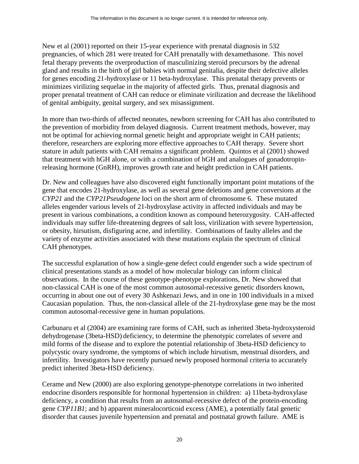New et al (2001) reported on their 15-year experience with prenatal diagnosis in 532 pregnancies, of which 281 were treated for CAH prenatally with dexamethasone. This novel fetal therapy prevents the overproduction of masculinizing steroid precursors by the adrenal gland and results in the birth of girl babies with normal genitalia, despite their defective alleles for genes encoding 21-hydroxylase or 11 beta-hydroxylase. This prenatal therapy prevents or minimizes virilizing sequelae in the majority of affected girls. Thus, prenatal diagnosis and proper prenatal treatment of CAH can reduce or eliminate virilization and decrease the likelihood of genital ambiguity, genital surgery, and sex misassignment.

In more than two-thirds of affected neonates, newborn screening for CAH has also contributed to the prevention of morbidity from delayed diagnosis. Current treatment methods, however, may not be optimal for achieving normal genetic height and appropriate weight in CAH patients; therefore, researchers are exploring more effective approaches to CAH therapy. Severe short stature in adult patients with CAH remains a significant problem. Quintos et al (2001) showed that treatment with hGH alone, or with a combination of hGH and analogues of gonadotropinreleasing hormone (GnRH), improves growth rate and height prediction in CAH patients.

Dr. New and colleagues have also discovered eight functionally important point mutations of the gene that encodes 21-hydroxylase, as well as several gene deletions and gene conversions at the *CYP21* and the *CYP21Pseudogene* loci on the short arm of chromosome 6. These mutated alleles engender various levels of 21-hydroxylase activity in affected individuals and may be present in various combinations, a condition known as compound heterozygosity. CAH-affected individuals may suffer life-threatening degrees of salt loss, virilization with severe hypertension, or obesity, hirsutism, disfiguring acne, and infertility. Combinations of faulty alleles and the variety of enzyme activities associated with these mutations explain the spectrum of clinical CAH phenotypes.

The successful explanation of how a single-gene defect could engender such a wide spectrum of clinical presentations stands as a model of how molecular biology can inform clinical observations. In the course of these genotype-phenotype explorations, Dr. New showed that non-classical CAH is one of the most common autosomal-recessive genetic disorders known, occurring in about one out of every 30 Ashkenazi Jews, and in one in 100 individuals in a mixed Caucasian population. Thus, the non-classical allele of the 21-hydroxylase gene may be the most common autosomal-recessive gene in human populations.

Carbunaru et al (2004) are examining rare forms of CAH, such as inherited 3beta-hydroxysteroid dehydrogenase (3beta-HSD) deficiency, to determine the phenotypic correlates of severe and mild forms of the disease and to explore the potential relationship of 3beta-HSD deficiency to polycystic ovary syndrome, the symptoms of which include hirsutism, menstrual disorders, and infertility. Investigators have recently pursued newly proposed hormonal criteria to accurately predict inherited 3beta-HSD deficiency.

Cerame and New (2000) are also exploring genotype-phenotype correlations in two inherited endocrine disorders responsible for hormonal hypertension in children: a) 11beta-hydroxylase deficiency, a condition that results from an autosomal-recessive defect of the protein-encoding gene *CYP11B1*; and b) apparent mineralocorticoid excess (AME), a potentially fatal genetic disorder that causes juvenile hypertension and prenatal and postnatal growth failure. AME is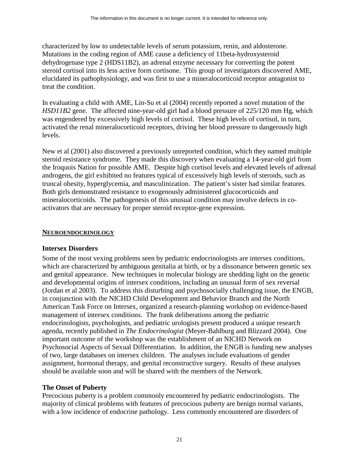<span id="page-24-0"></span>characterized by low to undetectable levels of serum potassium, renin, and aldosterone. Mutations in the coding region of AME cause a deficiency of 11beta-hydroxysteroid dehydrogenase type 2 (HDS11B2), an adrenal enzyme necessary for converting the potent steroid cortisol into its less active form cortisone. This group of investigators discovered AME, elucidated its pathophysiology, and was first to use a mineralocorticoid receptor antagonist to treat the condition.

In evaluating a child with AME, Lin-Su et al (2004) recently reported a novel mutation of the *HSD11B2* gene. The affected nine-year-old girl had a blood pressure of 225/120 mm Hg, which was engendered by excessively high levels of cortisol. These high levels of cortisol, in turn, activated the renal mineralocorticoid receptors, driving her blood pressure to dangerously high levels.

New et al (2001) also discovered a previously unreported condition, which they named multiple steroid resistance syndrome. They made this discovery when evaluating a 14-year-old girl from the Iroquois Nation for possible AME. Despite high cortisol levels and elevated levels of adrenal androgens, the girl exhibited no features typical of excessively high levels of steroids, such as truncal obesity, hyperglycemia, and masculinization. The patient's sister had similar features. Both girls demonstrated resistance to exogenously administered glucocorticoids and mineralocorticoids. The pathogenesis of this unusual condition may involve defects in coactivators that are necessary for proper steroid receptor-gene expression.

#### **NEUROENDOCRINOLOGY**

#### **Intersex Disorders**

Some of the most vexing problems seen by pediatric endocrinologists are intersex conditions, which are characterized by ambiguous genitalia at birth, or by a dissonance between genetic sex and genital appearance. New techniques in molecular biology are shedding light on the genetic and developmental origins of intersex conditions, including an unusual form of sex reversal (Jordan et al 2003). To address this disturbing and psychosocially challenging issue, the ENGB, in conjunction with the NICHD Child Development and Behavior Branch and the North American Task Force on Intersex, organized a research-planning workshop on evidence-based management of intersex conditions. The frank deliberations among the pediatric endocrinologists, psychologists, and pediatric urologists present produced a unique research agenda, recently published in *The Endocrinologist* (Meyer-Bahlburg and Blizzard 2004). One important outcome of the workshop was the establishment of an NICHD Network on Psychosocial Aspects of Sexual Differentiation. In addition, the ENGB is funding new analyses of two, large databases on intersex children. The analyses include evaluations of gender assignment, hormonal therapy, and genital reconstructive surgery. Results of these analyses should be available soon and will be shared with the members of the Network.

#### **The Onset of Puberty**

Precocious puberty is a problem commonly encountered by pediatric endocrinologists. The majority of clinical problems with features of precocious puberty are benign normal variants, with a low incidence of endocrine pathology. Less commonly encountered are disorders of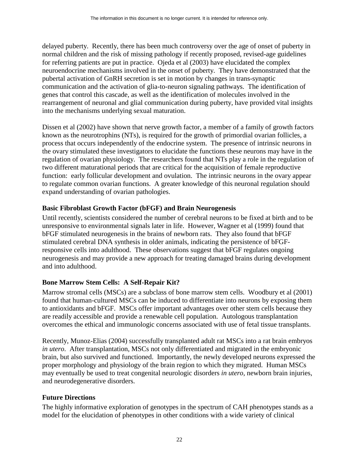delayed puberty. Recently, there has been much controversy over the age of onset of puberty in normal children and the risk of missing pathology if recently proposed, revised-age guidelines for referring patients are put in practice. Ojeda et al (2003) have elucidated the complex neuroendocrine mechanisms involved in the onset of puberty. They have demonstrated that the pubertal activation of GnRH secretion is set in motion by changes in trans-synaptic communication and the activation of glia-to-neuron signaling pathways. The identification of genes that control this cascade, as well as the identification of molecules involved in the rearrangement of neuronal and glial communication during puberty, have provided vital insights into the mechanisms underlying sexual maturation.

Dissen et al (2002) have shown that nerve growth factor, a member of a family of growth factors known as the neurotrophins (NTs), is required for the growth of primordial ovarian follicles, a process that occurs independently of the endocrine system. The presence of intrinsic neurons in the ovary stimulated these investigators to elucidate the functions these neurons may have in the regulation of ovarian physiology. The researchers found that NTs play a role in the regulation of two different maturational periods that are critical for the acquisition of female reproductive function: early follicular development and ovulation. The intrinsic neurons in the ovary appear to regulate common ovarian functions. A greater knowledge of this neuronal regulation should expand understanding of ovarian pathologies.

#### **Basic Fibroblast Growth Factor (bFGF) and Brain Neurogenesis**

Until recently, scientists considered the number of cerebral neurons to be fixed at birth and to be unresponsive to environmental signals later in life. However, Wagner et al (1999) found that bFGF stimulated neurogenesis in the brains of newborn rats. They also found that bFGF stimulated cerebral DNA synthesis in older animals, indicating the persistence of bFGFresponsive cells into adulthood. These observations suggest that bFGF regulates ongoing neurogenesis and may provide a new approach for treating damaged brains during development and into adulthood.

# **Bone Marrow Stem Cells: A Self-Repair Kit?**

Marrow stromal cells (MSCs) are a subclass of bone marrow stem cells. Woodbury et al (2001) found that human-cultured MSCs can be induced to differentiate into neurons by exposing them to antioxidants and bFGF. MSCs offer important advantages over other stem cells because they are readily accessible and provide a renewable cell population. Autologous transplantation overcomes the ethical and immunologic concerns associated with use of fetal tissue transplants.

Recently, Munoz-Elias (2004) successfully transplanted adult rat MSCs into a rat brain embryos *in utero*. After transplantation, MSCs not only differentiated and migrated in the embryonic brain, but also survived and functioned. Importantly, the newly developed neurons expressed the proper morphology and physiology of the brain region to which they migrated. Human MSCs may eventually be used to treat congenital neurologic disorders *in utero*, newborn brain injuries, and neurodegenerative disorders.

#### **Future Directions**

The highly informative exploration of genotypes in the spectrum of CAH phenotypes stands as a model for the elucidation of phenotypes in other conditions with a wide variety of clinical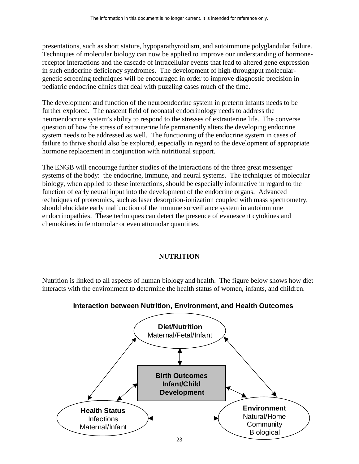<span id="page-26-0"></span>presentations, such as short stature, hypoparathyroidism, and autoimmune polyglandular failure. Techniques of molecular biology can now be applied to improve our understanding of hormonereceptor interactions and the cascade of intracellular events that lead to altered gene expression in such endocrine deficiency syndromes. The development of high-throughput moleculargenetic screening techniques will be encouraged in order to improve diagnostic precision in pediatric endocrine clinics that deal with puzzling cases much of the time.

The development and function of the neuroendocrine system in preterm infants needs to be further explored. The nascent field of neonatal endocrinology needs to address the neuroendocrine system's ability to respond to the stresses of extrauterine life. The converse question of how the stress of extrauterine life permanently alters the developing endocrine system needs to be addressed as well. The functioning of the endocrine system in cases of failure to thrive should also be explored, especially in regard to the development of appropriate hormone replacement in conjunction with nutritional support.

The ENGB will encourage further studies of the interactions of the three great messenger systems of the body: the endocrine, immune, and neural systems. The techniques of molecular biology, when applied to these interactions, should be especially informative in regard to the function of early neural input into the development of the endocrine organs. Advanced techniques of proteomics, such as laser desorption-ionization coupled with mass spectrometry, should elucidate early malfunction of the immune surveillance system in autoimmune endocrinopathies. These techniques can detect the presence of evanescent cytokines and chemokines in femtomolar or even attomolar quantities.

# **NUTRITION**

Nutrition is linked to all aspects of human biology and health. The figure below shows how diet interacts with the environment to determine the health status of women, infants, and children.



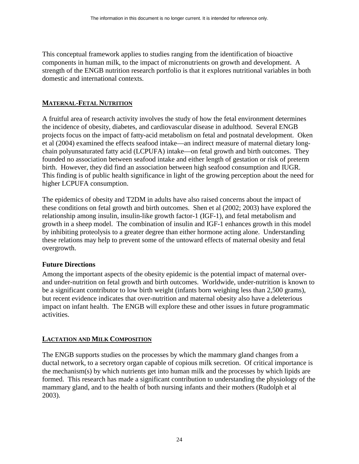<span id="page-27-0"></span>This conceptual framework applies to studies ranging from the identification of bioactive components in human milk, to the impact of micronutrients on growth and development. A strength of the ENGB nutrition research portfolio is that it explores nutritional variables in both domestic and international contexts.

# **MATERNAL-FETAL NUTRITION**

A fruitful area of research activity involves the study of how the fetal environment determines the incidence of obesity, diabetes, and cardiovascular disease in adulthood. Several ENGB projects focus on the impact of fatty-acid metabolism on fetal and postnatal development. Oken et al (2004) examined the effects seafood intake—an indirect measure of maternal dietary longchain polyunsaturated fatty acid (LCPUFA) intake—on fetal growth and birth outcomes. They founded no association between seafood intake and either length of gestation or risk of preterm birth. However, they did find an association between high seafood consumption and IUGR. This finding is of public health significance in light of the growing perception about the need for higher LCPUFA consumption.

The epidemics of obesity and T2DM in adults have also raised concerns about the impact of these conditions on fetal growth and birth outcomes. Shen et al (2002; 2003) have explored the relationship among insulin, insulin-like growth factor-1 (IGF-1), and fetal metabolism and growth in a sheep model. The combination of insulin and IGF-1 enhances growth in this model by inhibiting proteolysis to a greater degree than either hormone acting alone. Understanding these relations may help to prevent some of the untoward effects of maternal obesity and fetal overgrowth.

# **Future Directions**

Among the important aspects of the obesity epidemic is the potential impact of maternal overand under-nutrition on fetal growth and birth outcomes. Worldwide, under-nutrition is known to be a significant contributor to low birth weight (infants born weighing less than 2,500 grams), but recent evidence indicates that over-nutrition and maternal obesity also have a deleterious impact on infant health. The ENGB will explore these and other issues in future programmatic activities.

#### **LACTATION AND MILK COMPOSITION**

The ENGB supports studies on the processes by which the mammary gland changes from a ductal network, to a secretory organ capable of copious milk secretion. Of critical importance is the mechanism(s) by which nutrients get into human milk and the processes by which lipids are formed. This research has made a significant contribution to understanding the physiology of the mammary gland, and to the health of both nursing infants and their mothers (Rudolph et al 2003).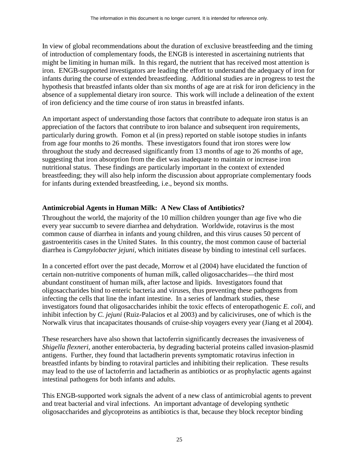In view of global recommendations about the duration of exclusive breastfeeding and the timing of introduction of complementary foods, the ENGB is interested in ascertaining nutrients that might be limiting in human milk. In this regard, the nutrient that has received most attention is iron. ENGB-supported investigators are leading the effort to understand the adequacy of iron for infants during the course of extended breastfeeding. Additional studies are in progress to test the hypothesis that breastfed infants older than six months of age are at risk for iron deficiency in the absence of a supplemental dietary iron source. This work will include a delineation of the extent of iron deficiency and the time course of iron status in breastfed infants.

An important aspect of understanding those factors that contribute to adequate iron status is an appreciation of the factors that contribute to iron balance and subsequent iron requirements, particularly during growth. Fomon et al (in press) reported on stable isotope studies in infants from age four months to 26 months. These investigators found that iron stores were low throughout the study and decreased significantly from 13 months of age to 26 months of age, suggesting that iron absorption from the diet was inadequate to maintain or increase iron nutritional status. These findings are particularly important in the context of extended breastfeeding; they will also help inform the discussion about appropriate complementary foods for infants during extended breastfeeding, i.e., beyond six months.

# **Antimicrobial Agents in Human Milk: A New Class of Antibiotics?**

Throughout the world, the majority of the 10 million children younger than age five who die every year succumb to severe diarrhea and dehydration. Worldwide, rotavirus is the most common cause of diarrhea in infants and young children, and this virus causes 50 percent of gastroenteritis cases in the United States. In this country, the most common cause of bacterial diarrhea is *Campylobacter jejuni,* which initiates disease by binding to intestinal cell surfaces.

In a concerted effort over the past decade, Morrow et al (2004) have elucidated the function of certain non-nutritive components of human milk, called oligosaccharides—the third most abundant constituent of human milk, after lactose and lipids. Investigators found that oligosaccharides bind to enteric bacteria and viruses, thus preventing these pathogens from infecting the cells that line the infant intestine. In a series of landmark studies, these investigators found that oligosaccharides inhibit the toxic effects of enteropathogenic *E. coli*, and inhibit infection by *C. jejuni* (Ruiz-Palacios et al 2003) and by caliciviruses, one of which is the Norwalk virus that incapacitates thousands of cruise-ship voyagers every year (Jiang et al 2004).

These researchers have also shown that lactoferrin significantly decreases the invasiveness of *Shigella flexneri*, another enterobacteria, by degrading bacterial proteins called invasion-plasmid antigens. Further, they found that lactadherin prevents symptomatic rotavirus infection in breastfed infants by binding to rotaviral particles and inhibiting their replication. These results may lead to the use of lactoferrin and lactadherin as antibiotics or as prophylactic agents against intestinal pathogens for both infants and adults.

This ENGB-supported work signals the advent of a new class of antimicrobial agents to prevent and treat bacterial and viral infections. An important advantage of developing synthetic oligosaccharides and glycoproteins as antibiotics is that, because they block receptor binding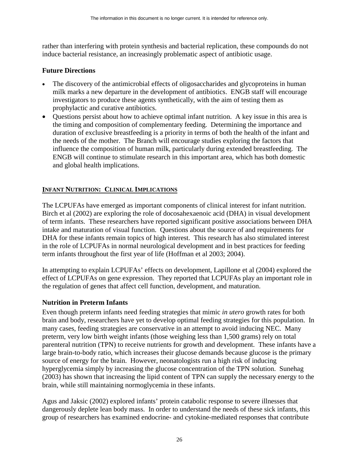<span id="page-29-0"></span>rather than interfering with protein synthesis and bacterial replication, these compounds do not induce bacterial resistance, an increasingly problematic aspect of antibiotic usage.

#### **Future Directions**

- The discovery of the antimicrobial effects of oligosaccharides and glycoproteins in human milk marks a new departure in the development of antibiotics. ENGB staff will encourage investigators to produce these agents synthetically, with the aim of testing them as prophylactic and curative antibiotics.
- Questions persist about how to achieve optimal infant nutrition. A key issue in this area is the timing and composition of complementary feeding. Determining the importance and duration of exclusive breastfeeding is a priority in terms of both the health of the infant and the needs of the mother. The Branch will encourage studies exploring the factors that influence the composition of human milk, particularly during extended breastfeeding. The ENGB will continue to stimulate research in this important area, which has both domestic and global health implications.

# **INFANT NUTRITION: CLINICAL IMPLICATIONS**

The LCPUFAs have emerged as important components of clinical interest for infant nutrition. Birch et al (2002) are exploring the role of docosahexaenoic acid (DHA) in visual development of term infants. These researchers have reported significant positive associations between DHA intake and maturation of visual function. Questions about the source of and requirements for DHA for these infants remain topics of high interest. This research has also stimulated interest in the role of LCPUFAs in normal neurological development and in best practices for feeding term infants throughout the first year of life (Hoffman et al 2003; 2004).

In attempting to explain LCPUFAs' effects on development, Lapillone et al (2004) explored the effect of LCPUFAs on gene expression. They reported that LCPUFAs play an important role in the regulation of genes that affect cell function, development, and maturation.

# **Nutrition in Preterm Infants**

Even though preterm infants need feeding strategies that mimic *in utero* growth rates for both brain and body, researchers have yet to develop optimal feeding strategies for this population. In many cases, feeding strategies are conservative in an attempt to avoid inducing NEC. Many preterm, very low birth weight infants (those weighing less than 1,500 grams) rely on total parenteral nutrition (TPN) to receive nutrients for growth and development. These infants have a large brain-to-body ratio, which increases their glucose demands because glucose is the primary source of energy for the brain. However, neonatologists run a high risk of inducing hyperglycemia simply by increasing the glucose concentration of the TPN solution. Sunehag (2003) has shown that increasing the lipid content of TPN can supply the necessary energy to the brain, while still maintaining normoglycemia in these infants.

Agus and Jaksic (2002) explored infants' protein catabolic response to severe illnesses that dangerously deplete lean body mass. In order to understand the needs of these sick infants, this group of researchers has examined endocrine- and cytokine-mediated responses that contribute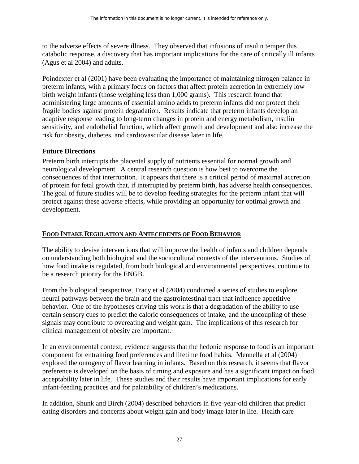<span id="page-30-0"></span>to the adverse effects of severe illness. They observed that infusions of insulin temper this catabolic response, a discovery that has important implications for the care of critically ill infants (Agus et al 2004) and adults.

Poindexter et al (2001) have been evaluating the importance of maintaining nitrogen balance in preterm infants, with a primary focus on factors that affect protein accretion in extremely low birth weight infants (those weighing less than 1,000 grams). This research found that administering large amounts of essential amino acids to preterm infants did not protect their fragile bodies against protein degradation. Results indicate that preterm infants develop an adaptive response leading to long-term changes in protein and energy metabolism, insulin sensitivity, and endothelial function, which affect growth and development and also increase the risk for obesity, diabetes, and cardiovascular disease later in life.

#### **Future Directions**

Preterm birth interrupts the placental supply of nutrients essential for normal growth and neurological development. A central research question is how best to overcome the consequences of that interruption. It appears that there is a critical period of maximal accretion of protein for fetal growth that, if interrupted by preterm birth, has adverse health consequences. The goal of future studies will be to develop feeding strategies for the preterm infant that will protect against these adverse effects, while providing an opportunity for optimal growth and development.

#### **FOOD INTAKE REGULATION AND ANTECEDENTS OF FOOD BEHAVIOR**

The ability to devise interventions that will improve the health of infants and children depends on understanding both biological and the sociocultural contexts of the interventions. Studies of how food intake is regulated, from both biological and environmental perspectives, continue to be a research priority for the ENGB.

From the biological perspective, Tracy et al (2004) conducted a series of studies to explore neural pathways between the brain and the gastrointestinal tract that influence appetitive behavior. One of the hypotheses driving this work is that a degradation of the ability to use certain sensory cues to predict the caloric consequences of intake, and the uncoupling of these signals may contribute to overeating and weight gain. The implications of this research for clinical management of obesity are important.

In an environmental context, evidence suggests that the hedonic response to food is an important component for entraining food preferences and lifetime food habits. Mennella et al (2004) explored the ontogeny of flavor learning in infants. Based on this research, it seems that flavor preference is developed on the basis of timing and exposure and has a significant impact on food acceptability later in life. These studies and their results have important implications for early infant-feeding practices and for palatability of children's medications.

In addition, Shunk and Birch (2004) described behaviors in five-year-old children that predict eating disorders and concerns about weight gain and body image later in life. Health care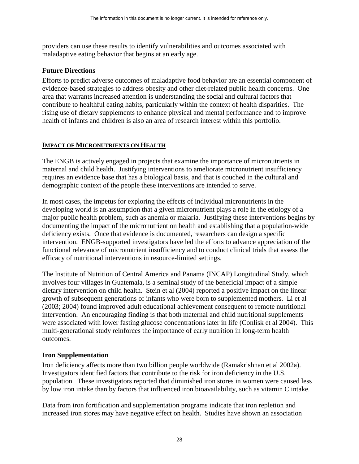<span id="page-31-0"></span>providers can use these results to identify vulnerabilities and outcomes associated with maladaptive eating behavior that begins at an early age.

#### **Future Directions**

Efforts to predict adverse outcomes of maladaptive food behavior are an essential component of evidence-based strategies to address obesity and other diet-related public health concerns. One area that warrants increased attention is understanding the social and cultural factors that contribute to healthful eating habits, particularly within the context of health disparities. The rising use of dietary supplements to enhance physical and mental performance and to improve health of infants and children is also an area of research interest within this portfolio.

#### **IMPACT OF MICRONUTRIENTS ON HEALTH**

The ENGB is actively engaged in projects that examine the importance of micronutrients in maternal and child health. Justifying interventions to ameliorate micronutrient insufficiency requires an evidence base that has a biological basis, and that is couched in the cultural and demographic context of the people these interventions are intended to serve.

In most cases, the impetus for exploring the effects of individual micronutrients in the developing world is an assumption that a given micronutrient plays a role in the etiology of a major public health problem, such as anemia or malaria. Justifying these interventions begins by documenting the impact of the micronutrient on health and establishing that a population-wide deficiency exists. Once that evidence is documented, researchers can design a specific intervention. ENGB-supported investigators have led the efforts to advance appreciation of the functional relevance of micronutrient insufficiency and to conduct clinical trials that assess the efficacy of nutritional interventions in resource-limited settings.

The Institute of Nutrition of Central America and Panama (INCAP) Longitudinal Study, which involves four villages in Guatemala, is a seminal study of the beneficial impact of a simple dietary intervention on child health. Stein et al (2004) reported a positive impact on the linear growth of subsequent generations of infants who were born to supplemented mothers. Li et al (2003; 2004) found improved adult educational achievement consequent to remote nutritional intervention. An encouraging finding is that both maternal and child nutritional supplements were associated with lower fasting glucose concentrations later in life (Conlisk et al 2004). This multi-generational study reinforces the importance of early nutrition in long-term health outcomes.

#### **Iron Supplementation**

Iron deficiency affects more than two billion people worldwide (Ramakrishnan et al 2002a). Investigators identified factors that contribute to the risk for iron deficiency in the U.S. population. These investigators reported that diminished iron stores in women were caused less by low iron intake than by factors that influenced iron bioavailability, such as vitamin C intake.

Data from iron fortification and supplementation programs indicate that iron repletion and increased iron stores may have negative effect on health. Studies have shown an association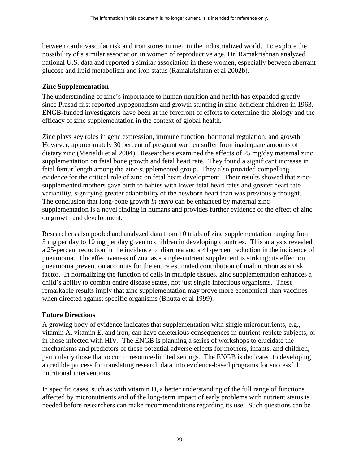between cardiovascular risk and iron stores in men in the industrialized world. To explore the possibility of a similar association in women of reproductive age, Dr. Ramakrishnan analyzed national U.S. data and reported a similar association in these women, especially between aberrant glucose and lipid metabolism and iron status (Ramakrishnan et al 2002b).

#### **Zinc Supplementation**

The understanding of zinc's importance to human nutrition and health has expanded greatly since Prasad first reported hypogonadism and growth stunting in zinc-deficient children in 1963. ENGB-funded investigators have been at the forefront of efforts to determine the biology and the efficacy of zinc supplementation in the context of global health.

Zinc plays key roles in gene expression, immune function, hormonal regulation, and growth. However, approximately 30 percent of pregnant women suffer from inadequate amounts of dietary zinc (Merialdi et al 2004). Researchers examined the effects of 25 mg/day maternal zinc supplementation on fetal bone growth and fetal heart rate. They found a significant increase in fetal femur length among the zinc-supplemented group. They also provided compelling evidence for the critical role of zinc on fetal heart development. Their results showed that zincsupplemented mothers gave birth to babies with lower fetal heart rates and greater heart rate variability, signifying greater adaptability of the newborn heart than was previously thought. The conclusion that long-bone growth *in utero* can be enhanced by maternal zinc supplementation is a novel finding in humans and provides further evidence of the effect of zinc on growth and development.

Researchers also pooled and analyzed data from 10 trials of zinc supplementation ranging from 5 mg per day to 10 mg per day given to children in developing countries. This analysis revealed a 25-percent reduction in the incidence of diarrhea and a 41-percent reduction in the incidence of pneumonia. The effectiveness of zinc as a single-nutrient supplement is striking; its effect on pneumonia prevention accounts for the entire estimated contribution of malnutrition as a risk factor. In normalizing the function of cells in multiple tissues, zinc supplementation enhances a child's ability to combat entire disease states, not just single infectious organisms. These remarkable results imply that zinc supplementation may prove more economical than vaccines when directed against specific organisms (Bhutta et al 1999).

#### **Future Directions**

A growing body of evidence indicates that supplementation with single micronutrients, e.g., vitamin A, vitamin E, and iron, can have deleterious consequences in nutrient-replete subjects, or in those infected with HIV. The ENGB is planning a series of workshops to elucidate the mechanisms and predictors of these potential adverse effects for mothers, infants, and children, particularly those that occur in resource-limited settings. The ENGB is dedicated to developing a credible process for translating research data into evidence-based programs for successful nutritional interventions.

In specific cases, such as with vitamin D, a better understanding of the full range of functions affected by micronutrients and of the long-term impact of early problems with nutrient status is needed before researchers can make recommendations regarding its use. Such questions can be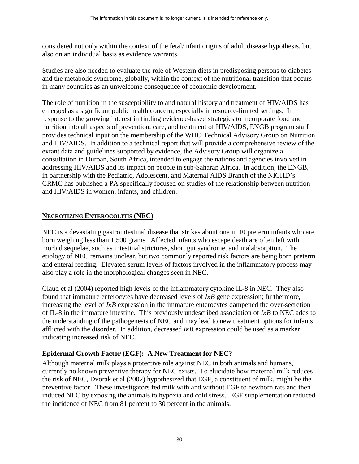<span id="page-33-0"></span>considered not only within the context of the fetal/infant origins of adult disease hypothesis, but also on an individual basis as evidence warrants.

Studies are also needed to evaluate the role of Western diets in predisposing persons to diabetes and the metabolic syndrome, globally, within the context of the nutritional transition that occurs in many countries as an unwelcome consequence of economic development.

The role of nutrition in the susceptibility to and natural history and treatment of HIV/AIDS has emerged as a significant public health concern, especially in resource-limited settings. In response to the growing interest in finding evidence-based strategies to incorporate food and nutrition into all aspects of prevention, care, and treatment of HIV/AIDS, ENGB program staff provides technical input on the membership of the WHO Technical Advisory Group on Nutrition and HIV/AIDS. In addition to a technical report that will provide a comprehensive review of the extant data and guidelines supported by evidence, the Advisory Group will organize a consultation in Durban, South Africa, intended to engage the nations and agencies involved in addressing HIV/AIDS and its impact on people in sub-Saharan Africa. In addition, the ENGB, in partnership with the Pediatric, Adolescent, and Maternal AIDS Branch of the NICHD's CRMC has published a PA specifically focused on studies of the relationship between nutrition and HIV/AIDS in women, infants, and children.

#### **NECROTIZING ENTEROCOLITIS (NEC)**

NEC is a devastating gastrointestinal disease that strikes about one in 10 preterm infants who are born weighing less than 1,500 grams. Affected infants who escape death are often left with morbid sequelae, such as intestinal strictures, short gut syndrome, and malabsorption. The etiology of NEC remains unclear, but two commonly reported risk factors are being born preterm and enteral feeding. Elevated serum levels of factors involved in the inflammatory process may also play a role in the morphological changes seen in NEC.

Claud et al (2004) reported high levels of the inflammatory cytokine IL-8 in NEC. They also found that immature enterocytes have decreased levels of *IκB* gene expression; furthermore, increasing the level of *IκB* expression in the immature enterocytes dampened the over-secretion of IL-8 in the immature intestine. This previously undescribed association of *IκB* to NEC adds to the understanding of the pathogenesis of NEC and may lead to new treatment options for infants afflicted with the disorder. In addition, decreased *IκB* expression could be used as a marker indicating increased risk of NEC.

# **Epidermal Growth Factor (EGF): A New Treatment for NEC?**

Although maternal milk plays a protective role against NEC in both animals and humans, currently no known preventive therapy for NEC exists. To elucidate how maternal milk reduces the risk of NEC, Dvorak et al (2002) hypothesized that EGF, a constituent of milk, might be the preventive factor. These investigators fed milk with and without EGF to newborn rats and then induced NEC by exposing the animals to hypoxia and cold stress. EGF supplementation reduced the incidence of NEC from 81 percent to 30 percent in the animals.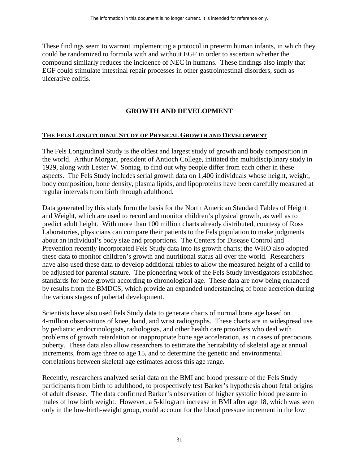<span id="page-34-0"></span>These findings seem to warrant implementing a protocol in preterm human infants, in which they could be randomized to formula with and without EGF in order to ascertain whether the compound similarly reduces the incidence of NEC in humans. These findings also imply that EGF could stimulate intestinal repair processes in other gastrointestinal disorders, such as ulcerative colitis.

# **GROWTH AND DEVELOPMENT**

#### **THE FELS LONGITUDINAL STUDY OF PHYSICAL GROWTH AND DEVELOPMENT**

The Fels Longitudinal Study is the oldest and largest study of growth and body composition in the world. Arthur Morgan, president of Antioch College, initiated the multidisciplinary study in 1929, along with Lester W. Sontag, to find out why people differ from each other in these aspects. The Fels Study includes serial growth data on 1,400 individuals whose height, weight, body composition, bone density, plasma lipids, and lipoproteins have been carefully measured at regular intervals from birth through adulthood.

Data generated by this study form the basis for the North American Standard Tables of Height and Weight, which are used to record and monitor children's physical growth, as well as to predict adult height. With more than 100 million charts already distributed, courtesy of Ross Laboratories, physicians can compare their patients to the Fels population to make judgments about an individual's body size and proportions. The Centers for Disease Control and Prevention recently incorporated Fels Study data into its growth charts; the WHO also adopted these data to monitor children's growth and nutritional status all over the world. Researchers have also used these data to develop additional tables to allow the measured height of a child to be adjusted for parental stature. The pioneering work of the Fels Study investigators established standards for bone growth according to chronological age. These data are now being enhanced by results from the BMDCS, which provide an expanded understanding of bone accretion during the various stages of pubertal development.

correlations between skeletal age estimates across this age range. Scientists have also used Fels Study data to generate charts of normal bone age based on 4-million observations of knee, hand, and wrist radiographs. These charts are in widespread use by pediatric endocrinologists, radiologists, and other health care providers who deal with problems of growth retardation or inappropriate bone age acceleration, as in cases of precocious puberty. These data also allow researchers to estimate the heritability of skeletal age at annual increments, from age three to age 15, and to determine the genetic and environmental

Recently, researchers analyzed serial data on the BMI and blood pressure of the Fels Study participants from birth to adulthood, to prospectively test Barker's hypothesis about fetal origins of adult disease. The data confirmed Barker's observation of higher systolic blood pressure in males of low birth weight. However, a 5-kilogram increase in BMI after age 18, which was seen only in the low-birth-weight group, could account for the blood pressure increment in the low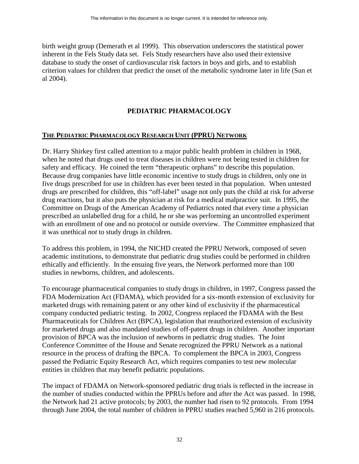<span id="page-35-0"></span>birth weight group (Demerath et al 1999). This observation underscores the statistical power inherent in the Fels Study data set. Fels Study researchers have also used their extensive database to study the onset of cardiovascular risk factors in boys and girls, and to establish criterion values for children that predict the onset of the metabolic syndrome later in life (Sun et al 2004).

# **PEDIATRIC PHARMACOLOGY**

#### **THE PEDIATRIC PHARMACOLOGY RESEARCH UNIT (PPRU) NETWORK**

Dr. Harry Shirkey first called attention to a major public health problem in children in 1968, when he noted that drugs used to treat diseases in children were not being tested in children for safety and efficacy. He coined the term "therapeutic orphans" to describe this population. Because drug companies have little economic incentive to study drugs in children, only one in five drugs prescribed for use in children has ever been tested in that population. When untested drugs are prescribed for children, this "off-label" usage not only puts the child at risk for adverse drug reactions, but it also puts the physician at risk for a medical malpractice suit. In 1995, the Committee on Drugs of the American Academy of Pediatrics noted that every time a physician prescribed an unlabelled drug for a child, he or she was performing an uncontrolled experiment with an enrollment of one and no protocol or outside overview. The Committee emphasized that it was unethical *not* to study drugs in children.

To address this problem, in 1994, the NICHD created the PPRU Network, composed of seven academic institutions, to demonstrate that pediatric drug studies could be performed in children ethically and efficiently. In the ensuing five years, the Network performed more than 100 studies in newborns, children, and adolescents.

To encourage pharmaceutical companies to study drugs in children, in 1997, Congress passed the FDA Modernization Act (FDAMA), which provided for a six-month extension of exclusivity for marketed drugs with remaining patent or any other kind of exclusivity if the pharmaceutical company conducted pediatric testing. In 2002, Congress replaced the FDAMA with the Best Pharmaceuticals for Children Act (BPCA), legislation that reauthorized extension of exclusivity for marketed drugs and also mandated studies of off-patent drugs in children. Another important provision of BPCA was the inclusion of newborns in pediatric drug studies. The Joint Conference Committee of the House and Senate recognized the PPRU Network as a national resource in the process of drafting the BPCA. To complement the BPCA in 2003, Congress passed the Pediatric Equity Research Act, which requires companies to test new molecular entities in children that may benefit pediatric populations.

The impact of FDAMA on Network-sponsored pediatric drug trials is reflected in the increase in the number of studies conducted within the PPRUs before and after the Act was passed. In 1998, the Network had 21 active protocols; by 2003, the number had risen to 92 protocols. From 1994 through June 2004, the total number of children in PPRU studies reached 5,960 in 216 protocols.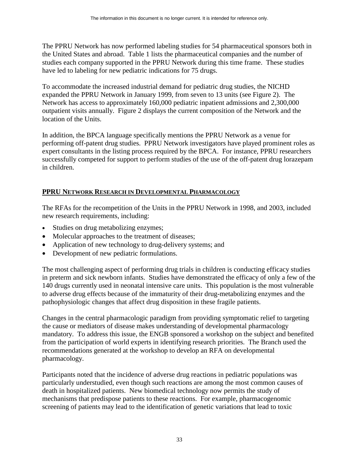The PPRU Network has now performed labeling studies for 54 pharmaceutical sponsors both in the United States and abroad. Table 1 lists the pharmaceutical companies and the number of studies each company supported in the PPRU Network during this time frame. These studies have led to labeling for new pediatric indications for 75 drugs.

To accommodate the increased industrial demand for pediatric drug studies, the NICHD expanded the PPRU Network in January 1999, from seven to 13 units (see Figure 2). The Network has access to approximately 160,000 pediatric inpatient admissions and 2,300,000 outpatient visits annually. Figure 2 displays the current composition of the Network and the location of the Units.

In addition, the BPCA language specifically mentions the PPRU Network as a venue for performing off-patent drug studies. PPRU Network investigators have played prominent roles as expert consultants in the listing process required by the BPCA. For instance, PPRU researchers successfully competed for support to perform studies of the use of the off-patent drug lorazepam in children.

# **PPRU NETWORK RESEARCH IN DEVELOPMENTAL PHARMACOLOGY**

The RFAs for the recompetition of the Units in the PPRU Network in 1998, and 2003, included new research requirements, including:

- Studies on drug metabolizing enzymes;
- Molecular approaches to the treatment of diseases;
- Application of new technology to drug-delivery systems; and
- Development of new pediatric formulations.

The most challenging aspect of performing drug trials in children is conducting efficacy studies in preterm and sick newborn infants. Studies have demonstrated the efficacy of only a few of the 140 drugs currently used in neonatal intensive care units. This population is the most vulnerable to adverse drug effects because of the immaturity of their drug-metabolizing enzymes and the pathophysiologic changes that affect drug disposition in these fragile patients.

Changes in the central pharmacologic paradigm from providing symptomatic relief to targeting the cause or mediators of disease makes understanding of developmental pharmacology mandatory. To address this issue, the ENGB sponsored a workshop on the subject and benefited from the participation of world experts in identifying research priorities. The Branch used the recommendations generated at the workshop to develop an RFA on developmental pharmacology.

Participants noted that the incidence of adverse drug reactions in pediatric populations was particularly understudied, even though such reactions are among the most common causes of death in hospitalized patients. New biomedical technology now permits the study of mechanisms that predispose patients to these reactions. For example, pharmacogenomic screening of patients may lead to the identification of genetic variations that lead to toxic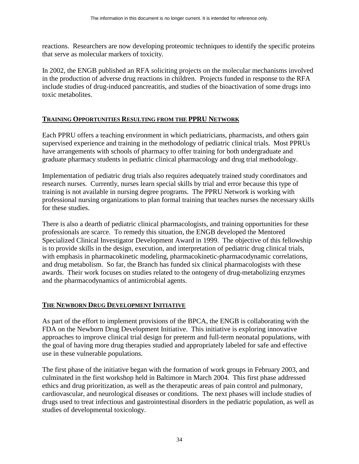reactions. Researchers are now developing proteomic techniques to identify the specific proteins that serve as molecular markers of toxicity.

In 2002, the ENGB published an RFA soliciting projects on the molecular mechanisms involved in the production of adverse drug reactions in children. Projects funded in response to the RFA include studies of drug-induced pancreatitis, and studies of the bioactivation of some drugs into toxic metabolites.

# **TRAINING OPPORTUNITIES RESULTING FROM THE PPRU NETWORK**

Each PPRU offers a teaching environment in which pediatricians, pharmacists, and others gain supervised experience and training in the methodology of pediatric clinical trials. Most PPRUs have arrangements with schools of pharmacy to offer training for both undergraduate and graduate pharmacy students in pediatric clinical pharmacology and drug trial methodology.

Implementation of pediatric drug trials also requires adequately trained study coordinators and research nurses. Currently, nurses learn special skills by trial and error because this type of training is not available in nursing degree programs. The PPRU Network is working with professional nursing organizations to plan formal training that teaches nurses the necessary skills for these studies.

There is also a dearth of pediatric clinical pharmacologists, and training opportunities for these professionals are scarce. To remedy this situation, the ENGB developed the Mentored Specialized Clinical Investigator Development Award in 1999. The objective of this fellowship is to provide skills in the design, execution, and interpretation of pediatric drug clinical trials, with emphasis in pharmacokinetic modeling, pharmacokinetic-pharmacodynamic correlations, and drug metabolism. So far, the Branch has funded six clinical pharmacologists with these awards. Their work focuses on studies related to the ontogeny of drug-metabolizing enzymes and the pharmacodynamics of antimicrobial agents.

# **THE NEWBORN DRUG DEVELOPMENT INITIATIVE**

As part of the effort to implement provisions of the BPCA, the ENGB is collaborating with the FDA on the Newborn Drug Development Initiative. This initiative is exploring innovative approaches to improve clinical trial design for preterm and full-term neonatal populations, with the goal of having more drug therapies studied and appropriately labeled for safe and effective use in these vulnerable populations.

The first phase of the initiative began with the formation of work groups in February 2003, and culminated in the first workshop held in Baltimore in March 2004. This first phase addressed ethics and drug prioritization, as well as the therapeutic areas of pain control and pulmonary, cardiovascular, and neurological diseases or conditions. The next phases will include studies of drugs used to treat infectious and gastrointestinal disorders in the pediatric population, as well as studies of developmental toxicology.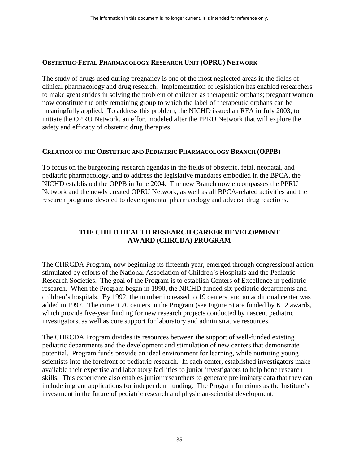### **OBSTETRIC-FETAL PHARMACOLOGY RESEARCH UNIT (OPRU) NETWORK**

The study of drugs used during pregnancy is one of the most neglected areas in the fields of clinical pharmacology and drug research. Implementation of legislation has enabled researchers to make great strides in solving the problem of children as therapeutic orphans; pregnant women now constitute the only remaining group to which the label of therapeutic orphans can be meaningfully applied. To address this problem, the NICHD issued an RFA in July 2003, to initiate the OPRU Network, an effort modeled after the PPRU Network that will explore the safety and efficacy of obstetric drug therapies.

# **CREATION OF THE OBSTETRIC AND PEDIATRIC PHARMACOLOGY BRANCH (OPPB)**

To focus on the burgeoning research agendas in the fields of obstetric, fetal, neonatal, and pediatric pharmacology, and to address the legislative mandates embodied in the BPCA, the NICHD established the OPPB in June 2004. The new Branch now encompasses the PPRU Network and the newly created OPRU Network, as well as all BPCA-related activities and the research programs devoted to developmental pharmacology and adverse drug reactions.

# **THE CHILD HEALTH RESEARCH CAREER DEVELOPMENT AWARD (CHRCDA) PROGRAM**

The CHRCDA Program, now beginning its fifteenth year, emerged through congressional action stimulated by efforts of the National Association of Children's Hospitals and the Pediatric Research Societies. The goal of the Program is to establish Centers of Excellence in pediatric research. When the Program began in 1990, the NICHD funded six pediatric departments and children's hospitals. By 1992, the number increased to 19 centers, and an additional center was added in 1997. The current 20 centers in the Program (see Figure 5) are funded by K12 awards, which provide five-year funding for new research projects conducted by nascent pediatric investigators, as well as core support for laboratory and administrative resources.

The CHRCDA Program divides its resources between the support of well-funded existing pediatric departments and the development and stimulation of new centers that demonstrate potential. Program funds provide an ideal environment for learning, while nurturing young scientists into the forefront of pediatric research. In each center, established investigators make available their expertise and laboratory facilities to junior investigators to help hone research skills. This experience also enables junior researchers to generate preliminary data that they can include in grant applications for independent funding. The Program functions as the Institute's investment in the future of pediatric research and physician-scientist development.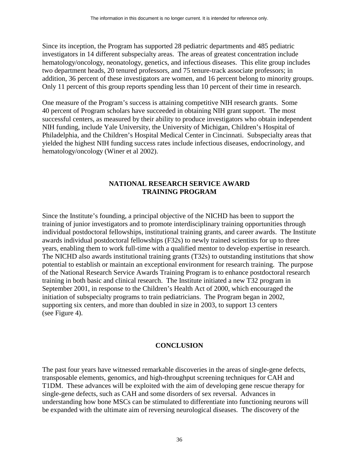Since its inception, the Program has supported 28 pediatric departments and 485 pediatric investigators in 14 different subspecialty areas. The areas of greatest concentration include hematology/oncology, neonatology, genetics, and infectious diseases. This elite group includes two department heads, 20 tenured professors, and 75 tenure-track associate professors; in addition, 36 percent of these investigators are women, and 16 percent belong to minority groups. Only 11 percent of this group reports spending less than 10 percent of their time in research.

One measure of the Program's success is attaining competitive NIH research grants. Some 40 percent of Program scholars have succeeded in obtaining NIH grant support. The most successful centers, as measured by their ability to produce investigators who obtain independent NIH funding, include Yale University, the University of Michigan, Children's Hospital of Philadelphia, and the Children's Hospital Medical Center in Cincinnati. Subspecialty areas that yielded the highest NIH funding success rates include infectious diseases, endocrinology, and hematology/oncology (Winer et al 2002).

# **NATIONAL RESEARCH SERVICE AWARD TRAINING PROGRAM**

Since the Institute's founding, a principal objective of the NICHD has been to support the training of junior investigators and to promote interdisciplinary training opportunities through individual postdoctoral fellowships, institutional training grants, and career awards. The Institute awards individual postdoctoral fellowships (F32s) to newly trained scientists for up to three years, enabling them to work full-time with a qualified mentor to develop expertise in research. The NICHD also awards institutional training grants (T32s) to outstanding institutions that show potential to establish or maintain an exceptional environment for research training. The purpose of the National Research Service Awards Training Program is to enhance postdoctoral research training in both basic and clinical research. The Institute initiated a new T32 program in September 2001, in response to the Children's Health Act of 2000, which encouraged the initiation of subspecialty programs to train pediatricians. The Program began in 2002, supporting six centers, and more than doubled in size in 2003, to support 13 centers (see Figure 4).

# **CONCLUSION**

The past four years have witnessed remarkable discoveries in the areas of single-gene defects, transposable elements, genomics, and high-throughput screening techniques for CAH and T1DM. These advances will be exploited with the aim of developing gene rescue therapy for single-gene defects, such as CAH and some disorders of sex reversal. Advances in understanding how bone MSCs can be stimulated to differentiate into functioning neurons will be expanded with the ultimate aim of reversing neurological diseases. The discovery of the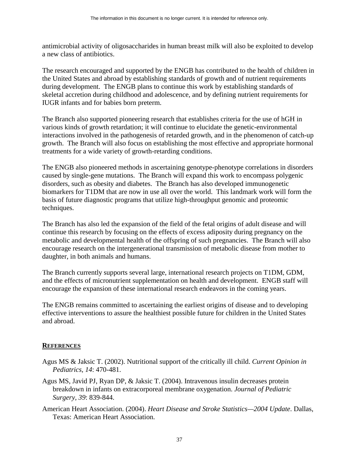antimicrobial activity of oligosaccharides in human breast milk will also be exploited to develop a new class of antibiotics.

The research encouraged and supported by the ENGB has contributed to the health of children in the United States and abroad by establishing standards of growth and of nutrient requirements during development. The ENGB plans to continue this work by establishing standards of skeletal accretion during childhood and adolescence, and by defining nutrient requirements for IUGR infants and for babies born preterm.

The Branch also supported pioneering research that establishes criteria for the use of hGH in various kinds of growth retardation; it will continue to elucidate the genetic-environmental interactions involved in the pathogenesis of retarded growth, and in the phenomenon of catch-up growth. The Branch will also focus on establishing the most effective and appropriate hormonal treatments for a wide variety of growth-retarding conditions.

The ENGB also pioneered methods in ascertaining genotype-phenotype correlations in disorders caused by single-gene mutations. The Branch will expand this work to encompass polygenic disorders, such as obesity and diabetes. The Branch has also developed immunogenetic biomarkers for T1DM that are now in use all over the world. This landmark work will form the basis of future diagnostic programs that utilize high-throughput genomic and proteomic techniques.

The Branch has also led the expansion of the field of the fetal origins of adult disease and will continue this research by focusing on the effects of excess adiposity during pregnancy on the metabolic and developmental health of the offspring of such pregnancies. The Branch will also encourage research on the intergenerational transmission of metabolic disease from mother to daughter, in both animals and humans.

The Branch currently supports several large, international research projects on T1DM, GDM, and the effects of micronutrient supplementation on health and development. ENGB staff will encourage the expansion of these international research endeavors in the coming years.

The ENGB remains committed to ascertaining the earliest origins of disease and to developing effective interventions to assure the healthiest possible future for children in the United States and abroad.

# **REFERENCES**

- Agus MS & Jaksic T. (2002). Nutritional support of the critically ill child. *Current Opinion in Pediatrics, 14*: 470-481.
- Agus MS, Javid PJ, Ryan DP, & Jaksic T. (2004). Intravenous insulin decreases protein breakdown in infants on extracorporeal membrane oxygenation. *Journal of Pediatric Surgery, 39*: 839-844.
- American Heart Association. (2004). *Heart Disease and Stroke Statistics—2004 Update*. Dallas, Texas: American Heart Association.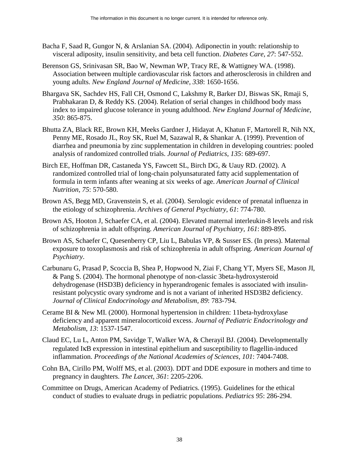- Bacha F, Saad R, Gungor N, & Arslanian SA. (2004). Adiponectin in youth: relationship to visceral adiposity, insulin sensitivity, and beta cell function. *Diabetes Care, 27*: 547-552.
- Berenson GS, Srinivasan SR, Bao W, Newman WP, Tracy RE, & Wattigney WA. (1998). Association between multiple cardiovascular risk factors and atherosclerosis in children and young adults. *New England Journal of Medicine, 338*: 1650-1656.
- Bhargava SK, Sachdev HS, Fall CH, Osmond C, Lakshmy R, Barker DJ, Biswas SK, Rmaji S, Prabhakaran D, & Reddy KS. (2004). Relation of serial changes in childhood body mass index to impaired glucose tolerance in young adulthood. *New England Journal of Medicine, 350*: 865-875.
- Bhutta ZA, Black RE, Brown KH, Meeks Gardner J, Hidayat A, Khatun F, Martorell R, Nih NX, Penny ME, Rosado JL, Roy SK, Ruel M, Sazawal R, & Shankar A. (1999). Prevention of diarrhea and pneumonia by zinc supplementation in children in developing countries: pooled analysis of randomized controlled trials. *Journal of Pediatrics, 135*: 689-697.
- Birch EE, Hoffman DR, Castaneda YS, Fawcett SL, Birch DG, & Uauy RD. (2002). A randomized controlled trial of long-chain polyunsaturated fatty acid supplementation of formula in term infants after weaning at six weeks of age. *American Journal of Clinical Nutrition, 75*: 570-580.
- Brown AS, Begg MD, Gravenstein S, et al. (2004). Serologic evidence of prenatal influenza in the etiology of schizophrenia. *Archives of General Psychiatry, 61*: 774-780.
- Brown AS, Hooton J, Schaefer CA, et al. (2004). Elevated maternal interleukin-8 levels and risk of schizophrenia in adult offspring. *American Journal of Psychiatry, 161*: 889-895.
- Brown AS, Schaefer C, Quesenberry CP, Liu L, Babulas VP, & Susser ES. (In press). Maternal exposure to toxoplasmosis and risk of schizophrenia in adult offspring. *American Journal of Psychiatry*.
- Carbunaru G, Prasad P, Scoccia B, Shea P, Hopwood N, Ziai F, Chang YT, Myers SE, Mason JI, & Pang S. (2004). The hormonal phenotype of non-classic 3beta-hydroxysteroid dehydrogenase (HSD3B) deficiency in hyperandrogenic females is associated with insulinresistant polycystic ovary syndrome and is not a variant of inherited HSD3B2 deficiency. *Journal of Clinical Endocrinology and Metabolism, 89*: 783-794.
- Cerame BI & New MI. (2000). Hormonal hypertension in children: 11beta-hydroxylase deficiency and apparent mineralocorticoid excess. *Journal of Pediatric Endocrinology and Metabolism*, *13*: 1537-1547.
- Claud EC, Lu L, Anton PM, Savidge T, Walker WA, & Cherayil BJ. (2004). Developmentally regulated IκB expression in intestinal epithelium and susceptibility to flagellin-induced inflammation. *Proceedings of the National Academies of Sciences, 101*: 7404-7408.
- Cohn BA, Cirillo PM, Wolff MS, et al. (2003). DDT and DDE exposure in mothers and time to pregnancy in daughters. *The Lancet, 361*: 2205-2206.
- Committee on Drugs, American Academy of Pediatrics. (1995). Guidelines for the ethical conduct of studies to evaluate drugs in pediatric populations. *Pediatrics 95*: 286-294.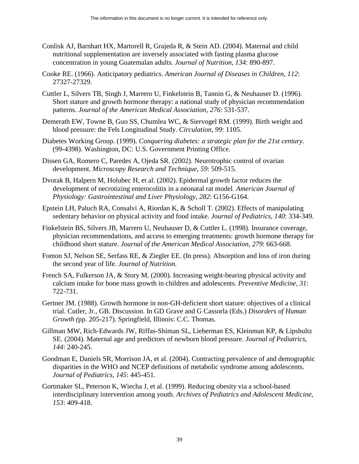- Conlisk AJ, Barnhart HX, Martorell R, Grajeda R, & Stein AD. (2004). Maternal and child nutritional supplementation are inversely associated with fasting plasma glucose concentration in young Guatemalan adults. *Journal of Nutrition, 134*: 890-897.
- Cooke RE. (1966). Anticipatory pediatrics. *American Journal of Diseases in Children, 112*: 27327-27329.
- Cuttler L, Silvers TB, Singh J, Marrero U, Finkelstein B, Tannin G, & Neuhauser D. (1996). Short stature and growth hormone therapy: a national study of physician recommendation patterns. *Journal of the American Medical Association, 276*: 531-537.
- Demerath EW, Towne B, Guo SS, Chumlea WC, & Siervogel RM. (1999). Birth weight and blood pressure: the Fels Longitudinal Study. *Circulation, 99*: 1105.
- Diabetes Working Group. (1999). *Conquering diabetes: a strategic plan for the 21st century.*  (99-4398). Washington, DC: U.S. Government Printing Office.
- Dissen GA, Romero C, Paredes A, Ojeda SR. (2002). Neurotrophic control of ovarian development. *Microscopy Research and Technique, 59*: 509-515.
- Dvorak B, Halpern M, Holubec H, et al. (2002). Epidermal growth factor reduces the development of necrotizing enterocolitis in a neonatal rat model. *American Journal of Physiology: Gastrointestinal and Liver Physiology, 282*: G156-G164.
- Epstein LH, Paluch RA, Consalvi A, Riordan K, & Scholl T. (2002). Effects of manipulating sedentary behavior on physical activity and food intake. *Journal of Pediatrics, 140*: 334-349.
- Finkelstein BS, Silvers JB, Marrero U, Neuhauser D, & Cuttler L. (1998). Insurance coverage, physician recommendations, and access to emerging treatments: growth hormone therapy for childhood short stature. *Journal of the American Medical Association, 279*: 663-668.
- Fomon SJ, Nelson SE, Serfass RE, & Ziegler EE. (In press). Absorption and loss of iron during the second year of life. *Journal of Nutrition.*
- French SA, Fulkerson JA, & Story M. (2000). Increasing weight-bearing physical activity and calcium intake for bone mass growth in children and adolescents. *Preventive Medicine, 31*: 722-731.
- Gertner JM. (1988). Growth hormone in non-GH-deficient short stature: objectives of a clinical trial. Cutler, Jr., GB. Discussion. In GD Grave and G Cassorla (Eds.) *Disorders of Human Growth (*pp. 205-217). Springfield, Illinois: C.C. Thomas.
- Gillman MW, Rich-Edwards JW, Riffas-Shiman SL, Lieberman ES, Kleinman KP, & Lipshultz SE. (2004). Maternal age and predictors of newborn blood pressure. *Journal of Pediatrics, 144*: 240-245.
- Goodman E, Daniels SR, Morrison JA, et al. (2004). Contracting prevalence of and demographic disparities in the WHO and NCEP definitions of metabolic syndrome among adolescents*. Journal of Pediatrics, 145*: 445-451.
- Gortmaker SL, Peterson K, Wiecha J, et al. (1999). Reducing obesity via a school-based interdisciplinary intervention among youth. *Archives of Pediatrics and Adolescent Medicine*, *153*: 409-418.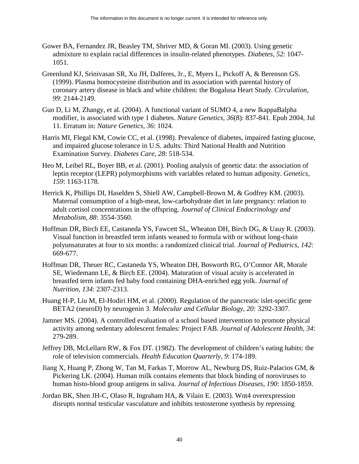- Gower BA, Fernandez JR, Beasley TM, Shriver MD, & Goran MI. (2003). Using genetic admixture to explain racial differences in insulin-related phenotypes. *Diabetes, 52*: 1047 1051.
- Greenlund KJ, Srinivasan SR, Xu JH, Dalferes, Jr., E, Myers L, Pickoff A, & Berenson GS. (1999). Plasma homocysteine distribution and its association with parental history of coronary artery disease in black and white children: the Bogalusa Heart Study. *Circulation, 99*: 2144-2149.
- Guo D, Li M, Zhangy, et al. (2004). A functional variant of SUMO 4, a new IkappaBalpha modifier, is associated with type 1 diabetes. *Nature Genetics, 36*(8): 837-841. Epub 2004, Jul 11. Erratum in: *Nature Genetics, 36*: 1024.
- Harris MI, Flegal KM, Cowie CC, et al. (1998). Prevalence of diabetes, impaired fasting glucose, and impaired glucose tolerance in U.S. adults: Third National Health and Nutrition Examination Survey. *Diabetes Care, 28*: 518-534.
- Heo M, Leibel RL, Boyer BB, et al. (2001). Pooling analysis of genetic data: the association of leptin receptor (LEPR) polymorphisms with variables related to human adiposity. *Genetics, 159*: 1163-1178.
- Herrick K, Phillips DI, Haselden S, Shiell AW, Campbell-Brown M, & Godfrey KM. (2003). Maternal consumption of a high-meat, low-carbohydrate diet in late pregnancy: relation to adult cortisol concentrations in the offspring. *Journal of Clinical Endocrinology and Metabolism, 88*: 3554-3560.
- Hoffman DR, Birch EE, Castaneda YS, Fawcett SL, Wheaton DH, Birch DG, & Uauy R. (2003). Visual function in breastfed term infants weaned to formula with or without long-chain polyunsaturates at four to six months: a randomized clinical trial. *Journal of Pediatrics, 142*: 669-677.
- Hoffman DR, Theuer RC, Castaneda YS, Wheaton DH, Bosworth RG, O'Connor AR, Morale SE, Wiedemann LE, & Birch EE. (2004). Maturation of visual acuity is accelerated in breastfed term infants fed baby food containing DHA-enriched egg yolk. *Journal of Nutrition, 134*: 2307-2313.
- Huang H-P, Liu M, El-Hodiri HM, et al. (2000). Regulation of the pancreatic islet-specific gene BETA2 (neuroD) by neurogenin 3. *Molecular and Cellular Biology, 20:* 3292-3307.
- Jamner MS. (2004). A controlled evaluation of a school based intervention to promote physical activity among sedentary adolescent females: Project FAB. *Journal of Adolescent Health, 34*: 279-289.
- role of television commercials. Health Education Quarterly, 9: 174-189. Jeffrey DB, McLellarn RW, & Fox DT. (1982). The development of children's eating habits: the
- Jiang X, Huang P, Zhong W, Tan M, Farkas T, Morrow AL, Newburg DS, Ruiz-Palacios GM, & Pickering LK. (2004). Human milk contains elements that block binding of noroviruses to human histo-blood group antigens in saliva. *Journal of Infectious Diseases, 190*: 1850-1859.
- Jordan BK, Shen JH-C, Olaso R, Ingraham HA, & Vilain E. (2003). Wnt4 overexpression disrupts normal testicular vasculature and inhibits testosterone synthesis by repressing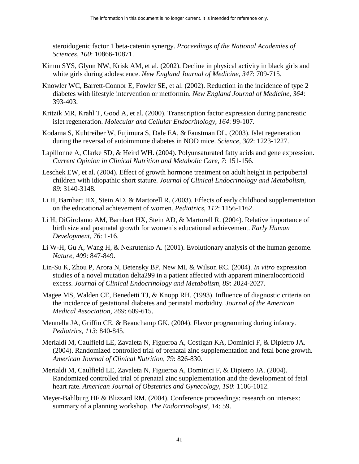steroidogenic factor 1 beta-catenin synergy. *Proceedings of the National Academies of Sciences, 100*: 10866-10871.

- Kimm SYS, Glynn NW, Krisk AM, et al. (2002). Decline in physical activity in black girls and white girls during adolescence. *New England Journal of Medicine, 347*: 709-715.
- Knowler WC, Barrett-Connor E, Fowler SE, et al. (2002). Reduction in the incidence of type 2 diabetes with lifestyle intervention or metformin. *New England Journal of Medicine, 364*: 393-403.
- Kritzik MR, Krahl T, Good A, et al. (2000). Transcription factor expression during pancreatic islet regeneration. *Molecular and Cellular Endocrinology, 164*: 99-107.
- Kodama S, Kuhtreiber W, Fujimura S, Dale EA, & Faustman DL. (2003). Islet regeneration during the reversal of autoimmune diabetes in NOD mice. *Science, 302*: 1223-1227.
- Lapillonne A, Clarke SD, & Heird WH. (2004). Polyunsaturated fatty acids and gene expression. *Current Opinion in Clinical Nutrition and Metabolic Care, 7*: 151-156.
- Leschek EW, et al. (2004). Effect of growth hormone treatment on adult height in peripubertal children with idiopathic short stature. *Journal of Clinical Endocrinology and Metabolism, 89*: 3140-3148.
- Li H, Barnhart HX, Stein AD, & Martorell R. (2003). Effects of early childhood supplementation on the educational achievement of women. *Pediatrics, 112*: 1156-1162.
- Li H, DiGirolamo AM, Barnhart HX, Stein AD, & Martorell R. (2004). Relative importance of birth size and postnatal growth for women's educational achievement. *Early Human Development, 76*: 1-16.
- Li W-H, Gu A, Wang H, & Nekrutenko A. (2001). Evolutionary analysis of the human genome. *Nature, 409*: 847-849.
- Lin-Su K, Zhou P, Arora N, Betensky BP, New MI, & Wilson RC. (2004). *In vitro* expression studies of a novel mutation delta299 in a patient affected with apparent mineralocorticoid excess. *Journal of Clinical Endocrinology and Metabolism, 89*: 2024-2027.
- Magee MS, Walden CE, Benedetti TJ, & Knopp RH. (1993). Influence of diagnostic criteria on the incidence of gestational diabetes and perinatal morbidity. *Journal of the American Medical Association, 269*: 609-615.
- Mennella JA, Griffin CE, & Beauchamp GK. (2004). Flavor programming during infancy. *Pediatrics, 113*: 840-845.
- Merialdi M, Caulfield LE, Zavaleta N, Figueroa A, Costigan KA, Dominici F, & Dipietro JA. (2004). Randomized controlled trial of prenatal zinc supplementation and fetal bone growth. *American Journal of Clinical Nutrition, 79*: 826-830.
- Merialdi M, Caulfield LE, Zavaleta N, Figueroa A, Dominici F, & Dipietro JA. (2004). Randomized controlled trial of prenatal zinc supplementation and the development of fetal heart rate. *American Journal of Obstetrics and Gynecology, 190*: 1106-1012.
- Meyer-Bahlburg HF & Blizzard RM. (2004). Conference proceedings: research on intersex: summary of a planning workshop. *The Endocrinologist, 14*: 59.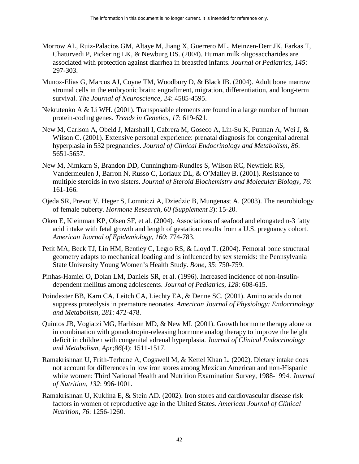- Morrow AL, Ruiz-Palacios GM, Altaye M, Jiang X, Guerrero ML, Meinzen-Derr JK, Farkas T, Chaturvedi P, Pickering LK, & Newburg DS. (2004). Human milk oligosaccharides are associated with protection against diarrhea in breastfed infants. *Journal of Pediatrics, 145*: 297-303.
- Munoz-Elias G, Marcus AJ, Coyne TM, Woodbury D, & Black IB. (2004). Adult bone marrow stromal cells in the embryonic brain: engraftment, migration, differentiation, and long-term survival. *The Journal of Neuroscience, 24*: 4585-4595.
- Nekrutenko A & Li WH. (2001). Transposable elements are found in a large number of human protein-coding genes. *Trends in Genetics, 17*: 619-621.
- New M, Carlson A, Obeid J, Marshall I, Cabrera M, Goseco A, Lin-Su K, Putman A, Wei J, & Wilson C. (2001). Extensive personal experience: prenatal diagnosis for congenital adrenal hyperplasia in 532 pregnancies. *Journal of Clinical Endocrinology and Metabolism, 86*: 5651-5657.
- New M, Nimkarn S, Brandon DD, Cunningham-Rundles S, Wilson RC, Newfield RS, Vandermeulen J, Barron N, Russo C, Loriaux DL, & O'Malley B. (2001). Resistance to multiple steroids in two sisters. *Journal of Steroid Biochemistry and Molecular Biology, 76*: 161-166.
- Ojeda SR, Prevot V, Heger S, Lomniczi A, Dziedzic B, Mungenast A. (2003). The neurobiology of female puberty. *Hormone Research, 60 (Supplement 3*): 15-20.
- Oken E, Kleinman KP, Olsen SF, et al. (2004). Associations of seafood and elongated n-3 fatty acid intake with fetal growth and length of gestation: results from a U.S. pregnancy cohort. *American Journal of Epidemiology, 160*: 774-783.
- Petit MA, Beck TJ, Lin HM, Bentley C, Legro RS, & Lloyd T. (2004). Femoral bone structural geometry adapts to mechanical loading and is influenced by sex steroids: the Pennsylvania State University Young Women's Health Study. *Bone, 35*: 750-759.
- Pinhas-Hamiel O, Dolan LM, Daniels SR, et al. (1996). Increased incidence of non-insulindependent mellitus among adolescents. *Journal of Pediatrics, 128*: 608-615.
- Poindexter BB, Karn CA, Leitch CA, Liechty EA, & Denne SC. (2001). Amino acids do not suppress proteolysis in premature neonates. *American Journal of Physiology: Endocrinology and Metabolism, 281*: 472-478.
- Quintos JB, Vogiatzi MG, Harbison MD, & New MI. (2001). Growth hormone therapy alone or in combination with gonadotropin-releasing hormone analog therapy to improve the height deficit in children with congenital adrenal hyperplasia. *Journal of Clinical Endocrinology and Metabolism*, *Apr;86*(4): 1511-1517.
- Ramakrishnan U, Frith-Terhune A, Cogswell M, & Kettel Khan L. (2002). Dietary intake does not account for differences in low iron stores among Mexican American and non-Hispanic white women: Third National Health and Nutrition Examination Survey, 1988-1994. *Journal of Nutrition, 132*: 996-1001.
- Ramakrishnan U, Kuklina E, & Stein AD. (2002). Iron stores and cardiovascular disease risk factors in women of reproductive age in the United States. *American Journal of Clinical Nutrition, 76*: 1256-1260.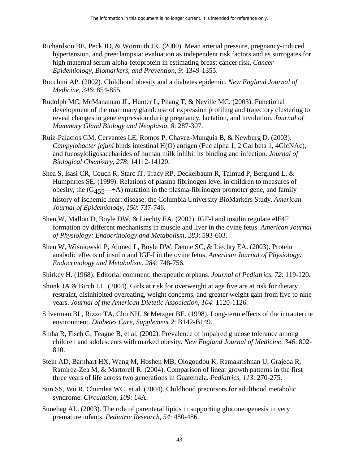- Richardson BE, Peck JD, & Wormuth JK. (2000). Mean arterial pressure, pregnancy-induced hypertension, and preeclampsia: evaluation as independent risk factors and as surrogates for high maternal serum alpha-fetoprotein in estimating breast cancer risk. *Cancer Epidemiology, Biomarkers, and Prevention, 9*: 1349-1355.
- Rocchini AP. (2002). Childhood obesity and a diabetes epidemic. *New England Journal of Medicine, 346*: 854-855.
- Rudolph MC, McManaman JL, Hunter L, Phang T, & Neville MC. (2003). Functional development of the mammary gland: use of expression profiling and trajectory clustering to reveal changes in gene expression during pregnancy, lactation, and involution. *Journal of Mammary Gland Biology and Neoplasia, 8*: 287-307.
- Ruiz-Palacios GM, Cervantes LE, Romos P, Chavez-Munguia B, & Newburg D. (2003). *Campylobacter jejuni* binds intestinal H(O) antigen (Fuc alpha 1, 2 Gal beta 1, 4GlcNAc), and fucosyloligosaccharides of human milk inhibit its binding and infection. *Journal of Biological Chemistry, 278*: 14112-14120.
- Shea S, Isasi CR, Couch R, Starc IT, Tracy RP, Deckelbaum R, Talmud P, Berglund L, & Humphries SE. (1999). Relations of plasma fibrinogen level in children to measures of obesity, the  $(G_{455} \rightarrow A)$  mutation in the plasma-fibrinogen promoter gene, and family history of ischemic heart disease: the Columbia University BioMarkers Study. *American Journal of Epidemiology, 150*: 737-746.
- Shen W, Mallon D, Boyle DW, & Liechty EA. (2002). IGF-I and insulin regulate eIF4F formation by different mechanisms in muscle and liver in the ovine fetus. *American Journal of Physiology: Endocrinology and Metabolism, 283*: 593-603.
- *Endocrinology and Metabolism, 284*: 748-756. Shen W, Wisniowski P, Ahmed L, Boyle DW, Denne SC, & Liechty EA. (2003). Protein anabolic effects of insulin and IGF-I in the ovine fetus. *American Journal of Physiology:*
- Shirkey H. (1968). Editorial comment: therapeutic orphans. *Journal of Pediatrics, 72*: 119-120.
- Shunk JA & Birch LL. (2004). Girls at risk for overweight at age five are at risk for dietary restraint, disinhibited overeating, weight concerns, and greater weight gain from five to nine years. *Journal of the American Dietetic Association, 104*: 1120-1126.
- Silverman BL, Rizzo TA, Cho NH, & Metzger BE. (1998). Long-term effects of the intrauterine environment. *Diabetes Care, Supplement 2*: B142-B149.
- Sinha R, Fisch G, Teague B, et al. (2002). Prevalence of impaired glucose tolerance among children and adolescents with marked obesity. *New England Journal of Medicine, 346*: 802 810.
- Stein AD, Barnhart HX, Wang M, Hoshen MB, Ologoudou K, Ramakrishnan U, Grajeda R, Ramirez-Zea M, & Martorell R. (2004). Comparison of linear growth patterns in the first three years of life across two generations in Guatemala. *Pediatrics, 113*: 270-275.
- Sun SS, Wu R, Chumlea WC, et al. (2004). Childhood precursors for adulthood metabolic syndrome. *Circulation, 109*: 14A.
- Sunehag AL. (2003). The role of parenteral lipids in supporting gluconeogenesis in very premature infants. *Pediatric Research, 54*: 480-486.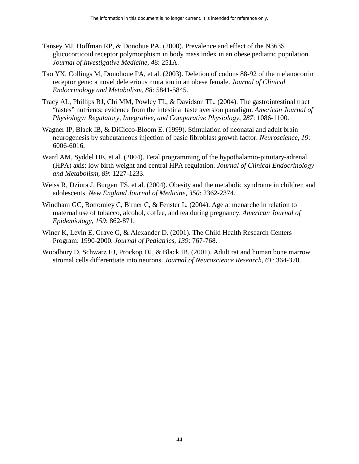- Tansey MJ, Hoffman RP, & Donohue PA. (2000). Prevalence and effect of the N363S glucocorticoid receptor polymorphism in body mass index in an obese pediatric population. *Journal of Investigative Medicine, 4*8: 251A.
- Tao YX, Collings M, Donohoue PA, et al. (2003). Deletion of codons 88-92 of the melanocortin receptor gene: a novel deleterious mutation in an obese female. *Journal of Clinical Endocrinology and Metabolism, 88*: 5841-5845.
- Tracy AL, Phillips RJ, Chi MM, Powley TL, & Davidson TL. (2004). The gastrointestinal tract "tastes" nutrients: evidence from the intestinal taste aversion paradigm. *American Journal of Physiology: Regulatory, Integrative, and Comparative Physiology, 287*: 1086-1100.
- Wagner IP, Black IB, & DiCicco-Bloom E. (1999). Stimulation of neonatal and adult brain neurogenesis by subcutaneous injection of basic fibroblast growth factor. *Neuroscience, 19*: 6006-6016.
- Ward AM, Syddel HE, et al. (2004). Fetal programming of the hypothalamio-pituitary-adrenal (HPA) axis: low birth weight and central HPA regulation*. Journal of Clinical Endocrinology and Metabolism, 89*: 1227-1233.
- Weiss R, Dziura J, Burgert TS, et al. (2004). Obesity and the metabolic syndrome in children and adolescents. *New England Journal of Medicine, 350*: 2362-2374.
- Windham GC, Bottomley C, Birner C, & Fenster L. (2004). Age at menarche in relation to maternal use of tobacco, alcohol, coffee, and tea during pregnancy. *American Journal of Epidemiology, 159*: 862-871.
- Winer K, Levin E, Grave G, & Alexander D. (2001). The Child Health Research Centers Program: 1990-2000. *Journal of Pediatrics, 139*: 767-768.
- Woodbury D, Schwarz EJ, Prockop DJ, & Black IB. (2001). Adult rat and human bone marrow stromal cells differentiate into neurons. *Journal of Neuroscience Research, 61*: 364-370.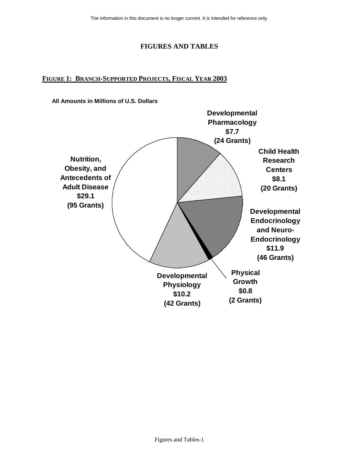# **FIGURES AND TABLES**

# **FIGURE 1: BRANCH-SUPPORTED PROJECTS, FISCAL YEAR 2003**

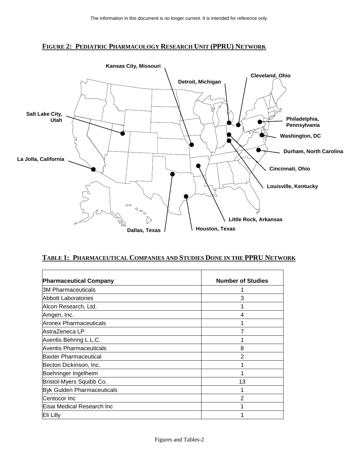### **FIGURE 2: PEDIATRIC PHARMACOLOGY RESEARCH UNIT (PPRU) NETWORK**



### **TABLE 1: PHARMACEUTICAL COMPANIES AND STUDIES DONE IN THE PPRU NETWORK**

| <b>Pharmaceutical Company</b>     | <b>Number of Studies</b> |
|-----------------------------------|--------------------------|
| <b>3M Pharmaceuticals</b>         |                          |
| Abbott Laboratories               | 3                        |
| Alcon Research, Ltd.              |                          |
| Amgen, Inc.                       | 4                        |
| <b>Aronex Pharmaceuticals</b>     |                          |
| lAstraZeneca LP                   |                          |
| Aventis Behring L.L.C.            |                          |
| <b>Aventis Pharmaceuticals</b>    | 8                        |
| Baxter Pharmaceutical             | $\overline{2}$           |
| Becton Dickinson, Inc.            |                          |
| Boehringer Ingelheim              |                          |
| Bristol-Myers Squibb Co.          | 13                       |
| <b>Byk Gulden Pharmaceuticals</b> |                          |
| Centocor Inc                      | $\overline{2}$           |
| Eisai Medical Research Inc        |                          |
| Eli Lilly                         |                          |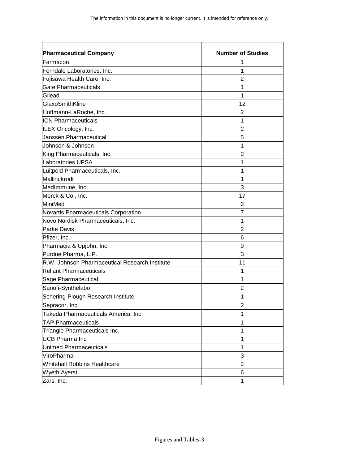| <b>Pharmaceutical Company</b>                  | <b>Number of Studies</b> |
|------------------------------------------------|--------------------------|
| Farmacon                                       | 1                        |
| Ferndale Laboratories, Inc.                    | 1                        |
| Fujisawa Health Care, Inc.                     | 2                        |
| <b>Gate Pharmaceuticals</b>                    | 1                        |
| Gilead                                         | 1                        |
| GlaxoSmithKline                                | 12                       |
| Hoffmann-LaRoche, Inc.                         | $\overline{2}$           |
| <b>ICN Pharmaceuticals</b>                     | 1                        |
| ILEX Oncology, Inc.                            | $\overline{2}$           |
| <b>Janssen Pharmaceutical</b>                  | 5                        |
| Johnson & Johnson                              | 1                        |
| King Pharmaceuticals, Inc.                     | $\overline{2}$           |
| Laboratories UPSA                              | 1                        |
| Luitpold Pharmaceuticals, Inc.                 | 1                        |
| Mallinckrodt                                   | 1                        |
| MedImmune, Inc.                                | 3                        |
| Merck & Co., Inc.                              | 17                       |
| MiniMed                                        | 2                        |
| Novartis Pharmaceuticals Corporation           | 7                        |
| Novo Nordisk Pharmaceuticals, Inc.             | 1                        |
| <b>Parke Davis</b>                             | 2                        |
| Pfizer, Inc.                                   | 6                        |
| Pharmacia & Upjohn, Inc.                       | 9                        |
| Purdue Pharma, L.P.                            | 3                        |
| R.W. Johnson Pharmaceutical Research Institute | 11                       |
| Reliant Pharmaceuticals                        | 1                        |
| Sage Pharmaceutical                            | 1                        |
| Sanofi-Synthelabo                              | $\overline{2}$           |
| Schering-Plough Research Institute             | 1                        |
| Sepracor, Inc                                  | $\overline{2}$           |
| Takeda Pharmaceuticals America, Inc.           | 1                        |
| <b>TAP Pharmaceuticals</b>                     | 1                        |
| Triangle Pharmaceuticals Inc.                  | 1                        |
| <b>UCB Pharma Inc</b>                          | 1                        |
| <b>Unimed Pharmaceuticals</b>                  | 1                        |
| ViroPharma                                     | 3                        |
| <b>Whitehall Robbins Healthcare</b>            | $\overline{2}$           |
| <b>Wyeth Ayerst</b>                            | 6                        |
| Zars, Inc.                                     | 1                        |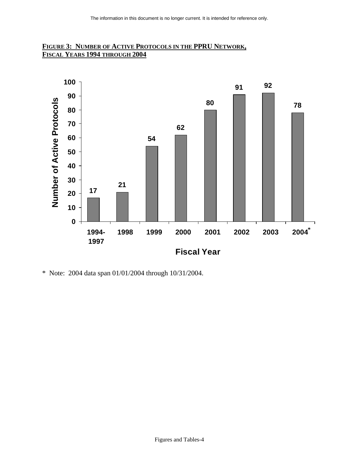



\* Note: 2004 data span 01/01/2004 through 10/31/2004.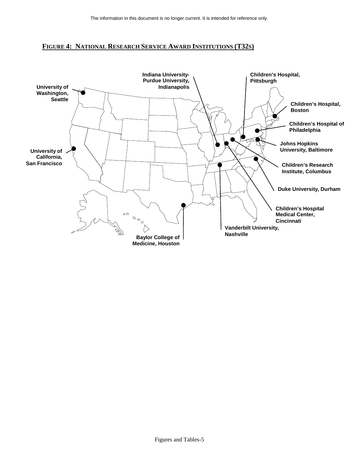

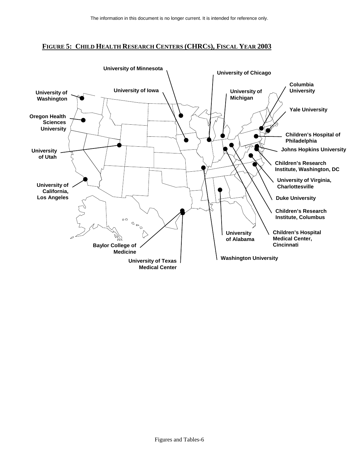## **FIGURE 5: CHILD HEALTH RESEARCH CENTERS (CHRCS), FISCAL YEAR 2003**

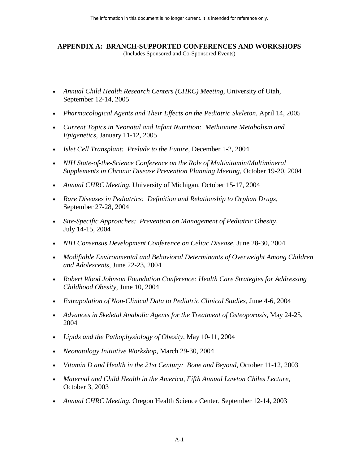### **APPENDIX A: BRANCH-SUPPORTED CONFERENCES AND WORKSHOPS**  (Includes Sponsored and Co-Sponsored Events)

- Annual Child Health Research Centers (CHRC) Meeting, University of Utah, September 12-14, 2005
- *Pharmacological Agents and Their Effects on the Pediatric Skeleton*, April 14, 2005
- *Current Topics in Neonatal and Infant Nutrition: Methionine Metabolism and Epigenetics*, January 11-12, 2005
- *Islet Cell Transplant: Prelude to the Future*, December 1-2, 2004
- *NIH State-of-the-Science Conference on the Role of Multivitamin/Multimineral Supplements in Chronic Disease Prevention Planning Meeting*, October 19-20, 2004
- *Annual CHRC Meeting*, University of Michigan, October 15-17, 2004
- *Rare Diseases in Pediatrics: Definition and Relationship to Orphan Drugs*, September 27-28, 2004
- Site-Specific Approaches: Prevention on Management of Pediatric Obesity, July 14-15, 2004
- *NIH Consensus Development Conference on Celiac Disease*, June 28-30, 2004
- Modifiable Environmental and Behavioral Determinants of Overweight Among Children *and Adolescents*, June 22-23, 2004
- Robert Wood Johnson Foundation Conference: Health Care Strategies for Addressing *Childhood Obesity*, June 10, 2004
- *Extrapolation of Non-Clinical Data to Pediatric Clinical Studies*, June 4-6, 2004
- Advances in Skeletal Anabolic Agents for the Treatment of Osteoporosis, May 24-25, 2004
- *Lipids and the Pathophysiology of Obesity*, May 10-11, 2004
- *Neonatology Initiative Workshop*, March 29-30, 2004
- *Vitamin D and Health in the 21st Century: Bone and Beyond, October 11-12, 2003*
- *Maternal and Child Health in the America, Fifth Annual Lawton Chiles Lecture*, October 3, 2003
- *Annual CHRC Meeting*, Oregon Health Science Center, September 12-14, 2003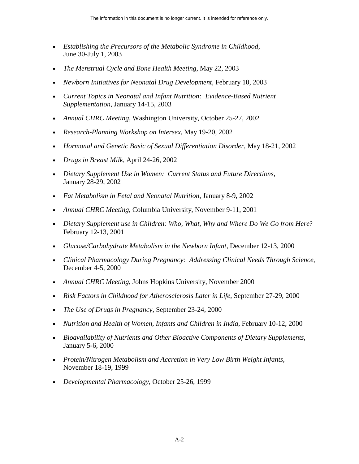- Establishing the Precursors of the Metabolic Syndrome in Childhood, June 30-July 1, 2003
- *The Menstrual Cycle and Bone Health Meeting*, May 22, 2003
- *Newborn Initiatives for Neonatal Drug Development*, February 10, 2003
- *Current Topics in Neonatal and Infant Nutrition: Evidence-Based Nutrient Supplementation*, January 14-15, 2003
- *Annual CHRC Meeting*, Washington University, October 25-27, 2002
- *Research-Planning Workshop on Intersex*, May 19-20, 2002
- *Hormonal and Genetic Basic of Sexual Differentiation Disorder*, May 18-21, 2002
- *Drugs in Breast Milk*, April 24-26, 2002
- *Dietary Supplement Use in Women: Current Status and Future Directions*, January 28-29, 2002
- *Fat Metabolism in Fetal and Neonatal Nutrition*, January 8-9, 2002
- *Annual CHRC Meeting*, Columbia University, November 9-11, 2001
- *Dietary Supplement use in Children: Who, What, Why and Where Do We Go from Here*? February 12-13, 2001
- *Glucose/Carbohydrate Metabolism in the Newborn Infant*, December 12-13, 2000
- *Clinical Pharmacology During Pregnancy: Addressing Clinical Needs Through Science*, December 4-5, 2000
- *Annual CHRC Meeting*, Johns Hopkins University, November 2000
- *Risk Factors in Childhood for Atherosclerosis Later in Life*, September 27-29, 2000
- *The Use of Drugs in Pregnancy*, September 23-24, 2000
- *Nutrition and Health of Women, Infants and Children in India*, February 10-12, 2000
- *Bioavailability of Nutrients and Other Bioactive Components of Dietary Supplements*, January 5-6, 2000
- *Protein/Nitrogen Metabolism and Accretion in Very Low Birth Weight Infants*, November 18-19, 1999
- *Developmental Pharmacology*, October 25-26, 1999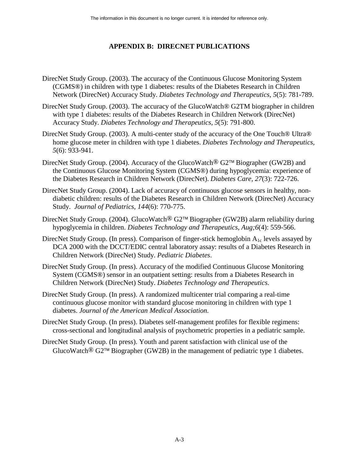# **APPENDIX B: DIRECNET PUBLICATIONS**

- DirecNet Study Group. (2003). The accuracy of the Continuous Glucose Monitoring System (CGMS®) in children with type 1 diabetes: results of the Diabetes Research in Children Network (DirecNet) Accuracy Study. *Diabetes Technology and Therapeutics, 5*(5): 781-789.
- DirecNet Study Group. (2003). The accuracy of the GlucoWatch® G2TM biographer in children with type 1 diabetes: results of the Diabetes Research in Children Network (DirecNet) Accuracy Study. *Diabetes Technology and Therapeutics, 5*(5): 791-800.
- DirecNet Study Group. (2003). A multi-center study of the accuracy of the One Touch® Ultra® home glucose meter in children with type 1 diabetes. *Diabetes Technology and Therapeutics, 5*(6): 933-941.
- DirecNet Study Group. (2004). Accuracy of the GlucoWatch<sup>®</sup> G2<sup>™</sup> Biographer (GW2B) and the Continuous Glucose Monitoring System (CGMS®) during hypoglycemia: experience of the Diabetes Research in Children Network (DirecNet). *Diabetes Care, 27*(3): 722-726.
- DirecNet Study Group. (2004). Lack of accuracy of continuous glucose sensors in healthy, nondiabetic children: results of the Diabetes Research in Children Network (DirecNet) Accuracy Study. *Journal of Pediatrics, 144*(6): 770-775.
- DirecNet Study Group. (2004). GlucoWatch® G2<sup>™</sup> Biographer (GW2B) alarm reliability during hypoglycemia in children. *Diabetes Technology and Therapeutics, Aug;6*(4): 559-566.
- DirecNet Study Group. (In press). Comparison of finger-stick hemoglobin  $A_{1c}$  levels assayed by DCA 2000 with the DCCT/EDIC central laboratory assay: results of a Diabetes Research in Children Network (DirecNet) Study. *Pediatric Diabetes*.
- DirecNet Study Group. (In press). Accuracy of the modified Continuous Glucose Monitoring System (CGMS®) sensor in an outpatient setting: results from a Diabetes Research in Children Network (DirecNet) Study. *Diabetes Technology and Therapeutics*.
- DirecNet Study Group. (In press). A randomized multicenter trial comparing a real-time continuous glucose monitor with standard glucose monitoring in children with type 1 diabetes. *Journal of the American Medical Association.*
- DirecNet Study Group. (In press). Diabetes self-management profiles for flexible regimens: cross-sectional and longitudinal analysis of psychometric properties in a pediatric sample.
- DirecNet Study Group. (In press). Youth and parent satisfaction with clinical use of the GlucoWatch<sup>®</sup> G2<sup>™</sup> Biographer (GW2B) in the management of pediatric type 1 diabetes.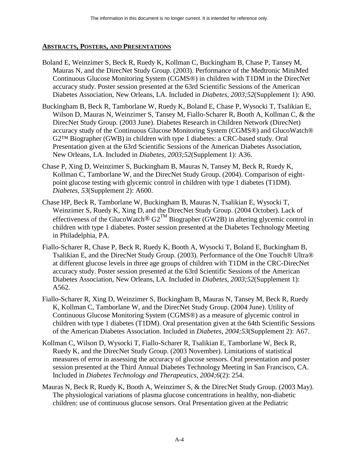# **ABSTRACTS, POSTERS, AND PRESENTATIONS**

- Boland E, Weinzimer S, Beck R, Ruedy K, Kollman C, Buckingham B, Chase P, Tansey M, Mauras N, and the DirecNet Study Group. (2003). Performance of the Medtronic MiniMed Continuous Glucose Monitoring System (CGMS®) in children with T1DM in the DirecNet accuracy study. Poster session presented at the 63rd Scientific Sessions of the American Diabetes Association, New Orleans, LA. Included in *Diabetes, 2003;52*(Supplement 1): A90.
- Buckingham B, Beck R, Tamborlane W, Ruedy K, Boland E, Chase P, Wysocki T, Tsalikian E, Wilson D, Mauras N, Weinzimer S, Tansey M, Fiallo-Scharer R, Booth A, Kollman C, & the DirecNet Study Group. (2003 June). Diabetes Research in Children Network (DirecNet) accuracy study of the Continuous Glucose Monitoring System (CGMS®) and GlucoWatch® G2™ Biographer (GWB) in children with type 1 diabetes: a CRC-based study. Oral Presentation given at the 63rd Scientific Sessions of the American Diabetes Association, New Orleans, LA. Included in *Diabetes, 2003;52*(Supplement 1): A36.
- Chase P, Xing D, Weinzimer S, Buckingham B, Mauras N, Tansey M, Beck R, Ruedy K, Kollman C, Tamborlane W, and the DirecNet Study Group. (2004). Comparison of eightpoint glucose testing with glycemic control in children with type 1 diabetes (T1DM). *Diabetes, 53*(Supplement 2): A600.
- Chase HP, Beck R, Tamborlane W, Buckingham B, Mauras N, Tsalikian E, Wysocki T, Weinzimer S, Ruedy K, Xing D, and the DirecNet Study Group. (2004 October). Lack of effectiveness of the GlucoWatch<sup>®</sup> G2<sup>TM</sup> Biographer (GW2B) in altering glycemic control in children with type 1 diabetes. Poster session presented at the Diabetes Technology Meeting in Philadelphia, PA.
- Fiallo-Scharer R, Chase P, Beck R, Ruedy K, Booth A, Wysocki T, Boland E, Buckingham B, Tsalikian E, and the DirecNet Study Group. (2003). Performance of the One Touch® Ultra® at different glucose levels in three age groups of children with T1DM in the CRC-DirecNet accuracy study. Poster session presented at the 63rd Scientific Sessions of the American Diabetes Association, New Orleans, LA. Included in *Diabetes, 2003;52*(Supplement 1): A562.
- Fiallo-Scharer R, Xing D, Weinzimer S, Buckingham B, Mauras N, Tansey M, Beck R, Ruedy K, Kollman C, Tamborlane W, and the DirecNet Study Group. (2004 June). Utility of Continuous Glucose Monitoring System (CGMS®) as a measure of glycemic control in children with type 1 diabetes (T1DM). Oral presentation given at the 64th Scientific Sessions of the American Diabetes Association. Included in *Diabetes, 2004;53*(Supplement 2): A67.
- Kollman C, Wilson D, Wysocki T, Fiallo-Scharer R, Tsalikian E, Tamborlane W, Beck R, Ruedy K, and the DirecNet Study Group. (2003 November). Limitations of statistical measures of error in assessing the accuracy of glucose sensors. Oral presentation and poster session presented at the Third Annual Diabetes Technology Meeting in San Francisco, CA. Included in *Diabetes Technology and Therapeutics, 2004;6*(2): 254.
- Mauras N, Beck R, Ruedy K, Booth A, Weinzimer S, & the DirecNet Study Group. (2003 May). The physiological variations of plasma glucose concentrations in healthy, non-diabetic children: use of continuous glucose sensors. Oral Presentation given at the Pediatric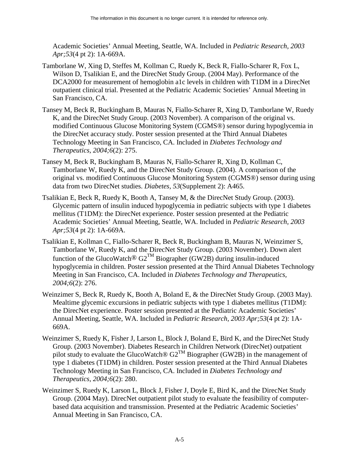Academic Societies' Annual Meeting, Seattle, WA. Included in *Pediatric Research, 2003 Apr;53*(4 pt 2): 1A-669A.

- Tamborlane W, Xing D, Steffes M, Kollman C, Ruedy K, Beck R, Fiallo-Scharer R, Fox L, Wilson D, Tsalikian E, and the DirecNet Study Group. (2004 May). Performance of the DCA2000 for measurement of hemoglobin a1c levels in children with T1DM in a DirecNet outpatient clinical trial. Presented at the Pediatric Academic Societies' Annual Meeting in San Francisco, CA.
- Tansey M, Beck R, Buckingham B, Mauras N, Fiallo-Scharer R, Xing D, Tamborlane W, Ruedy K, and the DirecNet Study Group. (2003 November). A comparison of the original vs. modified Continuous Glucose Monitoring System (CGMS®) sensor during hypoglycemia in the DirecNet accuracy study. Poster session presented at the Third Annual Diabetes Technology Meeting in San Francisco, CA. Included in *Diabetes Technology and Therapeutics, 2004;6*(2): 275.
- Tansey M, Beck R, Buckingham B, Mauras N, Fiallo-Scharer R, Xing D, Kollman C, Tamborlane W, Ruedy K, and the DirecNet Study Group. (2004). A comparison of the original vs. modified Continuous Glucose Monitoring System (CGMS®) sensor during using data from two DirecNet studies. *Diabetes, 53*(Supplement 2): A465.
- Tsalikian E, Beck R, Ruedy K, Booth A, Tansey M, & the DirecNet Study Group. (2003). Glycemic pattern of insulin induced hypoglycemia in pediatric subjects with type 1 diabetes mellitus (T1DM): the DirecNet experience. Poster session presented at the Pediatric Academic Societies' Annual Meeting, Seattle, WA. Included in *Pediatric Research, 2003 Apr;53*(4 pt 2): 1A-669A.
- Tsalikian E, Kollman C, Fiallo-Scharer R, Beck R, Buckingham B, Mauras N, Weinzimer S, Tamborlane W, Ruedy K, and the DirecNet Study Group. (2003 November). Down alert function of the GlucoWatch<sup>®</sup> G2<sup>TM</sup> Biographer (GW2B) during insulin-induced hypoglycemia in children. Poster session presented at the Third Annual Diabetes Technology Meeting in San Francisco, CA. Included in *Diabetes Technology and Therapeutics, 2004;6*(2): 276.
- Weinzimer S, Beck R, Ruedy K, Booth A, Boland E, & the DirecNet Study Group. (2003 May). Mealtime glycemic excursions in pediatric subjects with type 1 diabetes mellitus (T1DM): the DirecNet experience. Poster session presented at the Pediatric Academic Societies' Annual Meeting, Seattle, WA. Included in *Pediatric Research, 2003 Apr;53*(4 pt 2): 1A-669A.
- Weinzimer S, Ruedy K, Fisher J, Larson L, Block J, Boland E, Bird K, and the DirecNet Study Group. (2003 November). Diabetes Research in Children Network (DirecNet) outpatient pilot study to evaluate the GlucoWatch®  $G2^{TM}$  Biographer (GW2B) in the management of type 1 diabetes (T1DM) in children. Poster session presented at the Third Annual Diabetes Technology Meeting in San Francisco, CA. Included in *Diabetes Technology and Therapeutics, 2004;6*(2): 280.
- Weinzimer S, Ruedy K, Larson L, Block J, Fisher J, Doyle E, Bird K, and the DirecNet Study Group. (2004 May). DirecNet outpatient pilot study to evaluate the feasibility of computerbased data acquisition and transmission. Presented at the Pediatric Academic Societies' Annual Meeting in San Francisco, CA.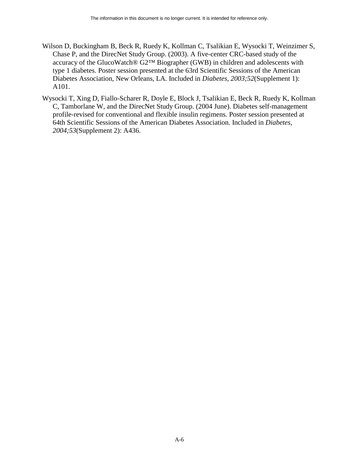- Wilson D, Buckingham B, Beck R, Ruedy K, Kollman C, Tsalikian E, Wysocki T, Weinzimer S, Chase P, and the DirecNet Study Group. (2003). A five-center CRC-based study of the accuracy of the GlucoWatch® G2™ Biographer (GWB) in children and adolescents with type 1 diabetes. Poster session presented at the 63rd Scientific Sessions of the American Diabetes Association, New Orleans, LA. Included in *Diabetes, 2003;52*(Supplement 1): A101.
- Wysocki T, Xing D, Fiallo-Scharer R, Doyle E, Block J, Tsalikian E, Beck R, Ruedy K, Kollman C, Tamborlane W, and the DirecNet Study Group. (2004 June). Diabetes self-management profile-revised for conventional and flexible insulin regimens. Poster session presented at 64th Scientific Sessions of the American Diabetes Association. Included in *Diabetes, 2004;53*(Supplement 2): A436.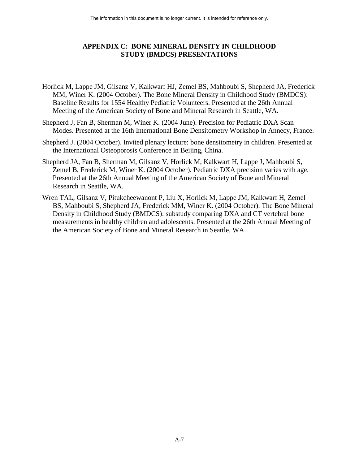# **APPENDIX C: BONE MINERAL DENSITY IN CHILDHOOD STUDY (BMDCS) PRESENTATIONS**

- Horlick M, Lappe JM, Gilsanz V, Kalkwarf HJ, Zemel BS, Mahboubi S, Shepherd JA, Frederick MM, Winer K. (2004 October). The Bone Mineral Density in Childhood Study (BMDCS): Baseline Results for 1554 Healthy Pediatric Volunteers. Presented at the 26th Annual Meeting of the American Society of Bone and Mineral Research in Seattle, WA.
- Shepherd J, Fan B, Sherman M, Winer K. (2004 June). Precision for Pediatric DXA Scan Modes. Presented at the 16th International Bone Densitometry Workshop in Annecy, France.
- Shepherd J. (2004 October). Invited plenary lecture: bone densitometry in children. Presented at the International Osteoporosis Conference in Beijing, China.
- Shepherd JA, Fan B, Sherman M, Gilsanz V, Horlick M, Kalkwarf H, Lappe J, Mahboubi S, Zemel B, Frederick M, Winer K. (2004 October). Pediatric DXA precision varies with age. Presented at the 26th Annual Meeting of the American Society of Bone and Mineral Research in Seattle, WA.
- Wren TAL, Gilsanz V, Pitukcheewanont P, Liu X, Horlick M, Lappe JM, Kalkwarf H, Zemel BS, Mahboubi S, Shepherd JA, Frederick MM, Winer K. (2004 October). The Bone Mineral Density in Childhood Study (BMDCS): substudy comparing DXA and CT vertebral bone measurements in healthy children and adolescents. Presented at the 26th Annual Meeting of the American Society of Bone and Mineral Research in Seattle, WA.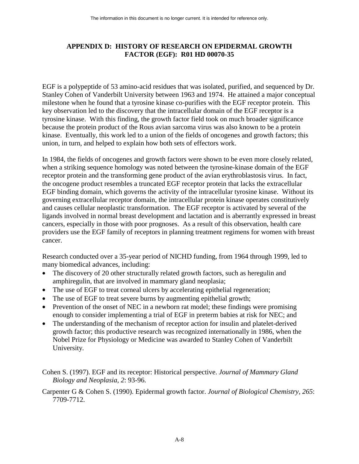# **APPENDIX D: HISTORY OF RESEARCH ON EPIDERMAL GROWTH FACTOR (EGF): R01 HD 00070-35**

EGF is a polypeptide of 53 amino-acid residues that was isolated, purified, and sequenced by Dr. Stanley Cohen of Vanderbilt University between 1963 and 1974. He attained a major conceptual milestone when he found that a tyrosine kinase co-purifies with the EGF receptor protein. This key observation led to the discovery that the intracellular domain of the EGF receptor is a tyrosine kinase. With this finding, the growth factor field took on much broader significance because the protein product of the Rous avian sarcoma virus was also known to be a protein kinase. Eventually, this work led to a union of the fields of oncogenes and growth factors; this union, in turn, and helped to explain how both sets of effectors work.

In 1984, the fields of oncogenes and growth factors were shown to be even more closely related, when a striking sequence homology was noted between the tyrosine-kinase domain of the EGF receptor protein and the transforming gene product of the avian erythroblastosis virus. In fact, the oncogene product resembles a truncated EGF receptor protein that lacks the extracellular EGF binding domain, which governs the activity of the intracellular tyrosine kinase. Without its governing extracellular receptor domain, the intracellular protein kinase operates constitutively and causes cellular neoplastic transformation. The EGF receptor is activated by several of the ligands involved in normal breast development and lactation and is aberrantly expressed in breast cancers, especially in those with poor prognoses. As a result of this observation, health care providers use the EGF family of receptors in planning treatment regimens for women with breast cancer.

Research conducted over a 35-year period of NICHD funding, from 1964 through 1999, led to many biomedical advances, including:

- The discovery of 20 other structurally related growth factors, such as heregulin and amphiregulin, that are involved in mammary gland neoplasia;
- The use of EGF to treat corneal ulcers by accelerating epithelial regeneration;
- The use of EGF to treat severe burns by augmenting epithelial growth;
- Prevention of the onset of NEC in a newborn rat model; these findings were promising enough to consider implementing a trial of EGF in preterm babies at risk for NEC; and
- The understanding of the mechanism of receptor action for insulin and platelet-derived growth factor; this productive research was recognized internationally in 1986, when the Nobel Prize for Physiology or Medicine was awarded to Stanley Cohen of Vanderbilt University.

Cohen S. (1997). EGF and its receptor: Historical perspective. *Journal of Mammary Gland Biology and Neoplasia, 2*: 93-96.

Carpenter G & Cohen S. (1990). Epidermal growth factor. *Journal of Biological Chemistry, 265*: 7709-7712.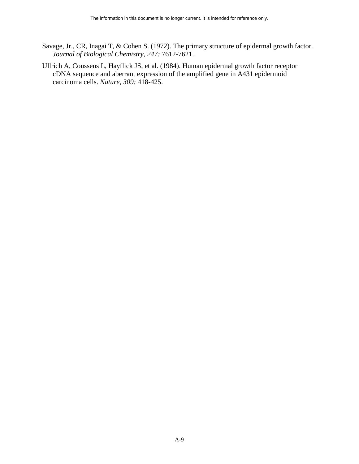- Savage, Jr., CR, Inagai T, & Cohen S. (1972). The primary structure of epidermal growth factor. *Journal of Biological Chemistry, 247:* 7612-7621.
- Ullrich A, Coussens L, Hayflick JS, et al. (1984). Human epidermal growth factor receptor cDNA sequence and aberrant expression of the amplified gene in A431 epidermoid carcinoma cells. *Nature, 309:* 418-425.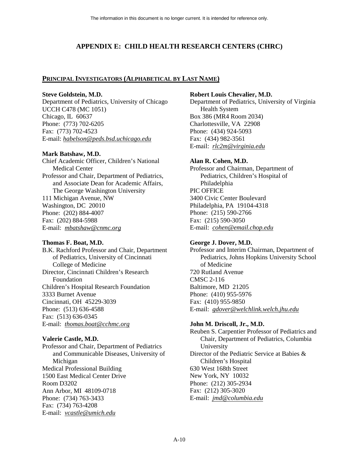# **APPENDIX E: CHILD HEALTH RESEARCH CENTERS (CHRC)**

### **PRINCIPAL INVESTIGATORS (ALPHABETICAL BY LAST NAME)**

#### **Steve Goldstein, M.D.**

Department of Pediatrics, University of Chicago UCCH C478 (MC 1051) Chicago, IL 60637 Phone: (773) 702-6205 Fax: (773) 702-4523 E-mail: *[habelson@peds.bsd.uchicago.edu](mailto:habelson@peds.bsd.uchicago.edu)*

#### **Mark Batshaw, M.D.**

Chief Academic Officer, Children's National Medical Center Professor and Chair, Department of Pediatrics, and Associate Dean for Academic Affairs, The George Washington University 111 Michigan Avenue, NW Washington, DC 20010 Phone: (202) 884-4007 Fax: (202) 884-5988 E-mail: *[mbatshaw@cnmc.org](mailto:mbatshaw@cnmc.org)*

#### **Thomas F. Boat, M.D.**

B.K. Rachford Professor and Chair, Department of Pediatrics, University of Cincinnati College of Medicine Director, Cincinnati Children's Research Foundation Children's Hospital Research Foundation 3333 Burnet Avenue Cincinnati, OH 45229-3039 Phone: (513) 636-4588 Fax: (513) 636-0345 E-mail: *[thomas.boat@cchmc.org](mailto:thomas.boat@cchmc.org)*

### **Valerie Castle, M.D.**

Professor and Chair, Department of Pediatrics and Communicable Diseases, University of Michigan Medical Professional Building 1500 East Medical Center Drive Room D3202 Ann Arbor, MI 48109-0718 Phone: (734) 763-3433 Fax: (734) 763-4208 E-mail: *[vcastle@umich.edu](mailto:vcastle@umich.edu)*

#### **Robert Louis Chevalier, M.D.**

Department of Pediatrics, University of Virginia Health System Box 386 (MR4 Room 2034) Charlottesville, VA 22908 Phone: (434) 924-5093 Fax: (434) 982-3561 E-mail: *[rlc2m@virginia.edu](mailto:rlc2m@virginia.edu)*

### **Alan R. Cohen, M.D.**

Professor and Chairman, Department of Pediatrics, Children's Hospital of Philadelphia PIC OFFICE 3400 Civic Center Boulevard Philadelphia, PA 19104-4318 Phone: (215) 590-2766 Fax: (215) 590-3050 E-mail: *[cohen@email.chop.edu](mailto:cohen@email.chop.edu)*

### **George J. Dover, M.D.**

Professor and Interim Chairman, Department of Pediatrics, Johns Hopkins University School of Medicine 720 Rutland Avenue CMSC 2-116 Baltimore, MD 21205 Phone: (410) 955-5976 Fax: (410) 955-9850 E-mail: *[gdover@welchlink.welch.jhu.edu](mailto:gdover@welchlink.welch.jhu.edu)*

### **John M. Driscoll, Jr., M.D.**

Reuben S. Carpentier Professor of Pediatrics and Chair, Department of Pediatrics, Columbia University Director of the Pediatric Service at Babies & Children's Hospital 630 West 168th Street New York, NY 10032 Phone: (212) 305-2934 Fax: (212) 305-3020 E-mail: *[jmd@columbia.edu](mailto:jmd@columbia.edu)*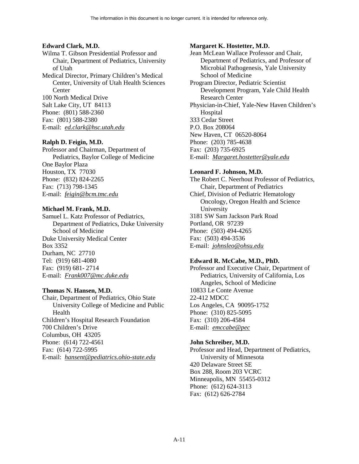### **Edward Clark, M.D.**

Wilma T. Gibson Presidential Professor and Chair, Department of Pediatrics, University of Utah

Medical Director, Primary Children's Medical Center, University of Utah Health Sciences **Center** 

100 North Medical Drive Salt Lake City, UT 84113 Phone: (801) 588-2360 Fax: (801) 588-2380

E-mail: *[ed.clark@hsc.utah.edu](mailto:ed.clark@hsc.utah.edu)* 

### **Ralph D. Feigin, M.D.**

Professor and Chairman, Department of Pediatrics, Baylor College of Medicine One Baylor Plaza Houston, TX 77030 Phone: (832) 824-2265 Fax: (713) 798-1345 E-mail: *[feigin@bcm.tmc.edu](mailto:feigin@bcm.tmc.edu)* 

### **Michael M. Frank, M.D.**

 E-mail: *[Frank007@mc.duke.edu](mailto:frank007@mc.duke.edu)* Samuel L. Katz Professor of Pediatrics, Department of Pediatrics, Duke University School of Medicine Duke University Medical Center Box 3352 Durham, NC 27710 Tel: (919) 681-4080 Fax: (919) 681- 2714

### **Thomas N. Hansen, M.D.**

Chair, Department of Pediatrics, Ohio State University College of Medicine and Public Health Children's Hospital Research Foundation 700 Children's Drive Columbus, OH 43205 Phone: (614) 722-4561 Fax: (614) 722-5995 E-mail: *[hansent@pediatrics.ohio-state.edu](mailto:hansent@pediatrics.ohio-state.edu)* 

### **Margaret K. Hostetter, M.D.**

Jean McLean Wallace Professor and Chair, Department of Pediatrics, and Professor of Microbial Pathogenesis, Yale University School of Medicine Program Director, Pediatric Scientist Development Program, Yale Child Health Research Center Physician-in-Chief, Yale-New Haven Children's Hospital 333 Cedar Street P.O. Box 208064 New Haven, CT 06520-8064 Phone: (203) 785-4638 Fax: (203) 735-6925 E-mail: *[Margaret.hostetter@yale.edu](mailto:Margaret.hostetter@yale.edu)*

### **Leonard F. Johnson, M.D.**

The Robert C. Neerhout Professor of Pediatrics, Chair, Department of Pediatrics Chief, Division of Pediatric Hematology Oncology, Oregon Health and Science University 3181 SW Sam Jackson Park Road Portland, OR 97239 Phone: (503) 494-4265 Fax: (503) 494-3536 E-mail: *[johnsleo@ohsu.edu](mailto:johnsleo@ohsu.edu)*

### **Edward R. McCabe, M.D., PhD.**

Professor and Executive Chair, Department of Pediatrics, University of California, Los Angeles, School of Medicine 10833 Le Conte Avenue 22-412 MDCC Los Angeles, CA 90095-1752 Phone: (310) 825-5095 Fax: (310) 206-4584 E-mail: *[emccabe@pec](mailto:emccabe@pec)*

### **John Schreiber, M.D.**

Professor and Head, Department of Pediatrics, University of Minnesota 420 Delaware Street SE Box 288, Room 203 VCRC Minneapolis, MN 55455-0312 Phone: (612) 624-3113 Fax: (612) 626-2784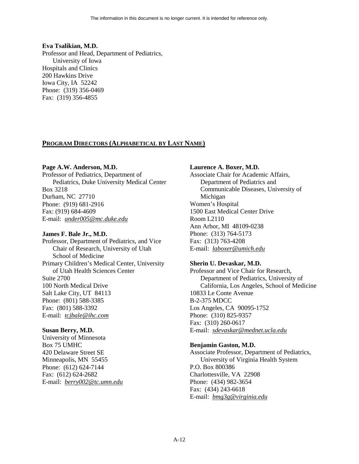#### **Eva Tsalikian, M.D.**

Professor and Head, Department of Pediatrics, University of Iowa Hospitals and Clinics 200 Hawkins Drive Iowa City, IA 52242 Phone: (319) 356-0469 Fax: (319) 356-4855

### **PROGRAM DIRECTORS (ALPHABETICAL BY LAST NAME)**

#### **Page A.W. Anderson, M.D.**

Professor of Pediatrics, Department of Pediatrics, Duke University Medical Center Box 3218 Durham, NC 27710 Phone: (919) 681-2916 Fax: (919) 684-4609 E-mail: *[ander005@mc.duke.edu](mailto:frank007@mc.duke.edu)* 

#### **James F. Bale Jr., M.D.**

Professor, Department of Pediatrics, and Vice Chair of Research, University of Utah School of Medicine Primary Children's Medical Center, University of Utah Health Sciences Center Suite 2700 100 North Medical Drive Salt Lake City, UT 84113 Phone: (801) 588-3385 Fax: (801) 588-3392 E-mail: *[tcjbale@ihc.com](mailto:tcjbale@ihc.com)* 

### **Susan Berry, M.D.**

University of Minnesota Box 75 UMHC 420 Delaware Street SE Minneapolis, MN 55455 Phone: (612) 624-7144 Fax: (612) 624-2682 E-mail: *[berry002@tc.umn.edu](mailto:berry002@tc.umn.edu)* 

#### **Laurence A. Boxer, M.D.**

Associate Chair for Academic Affairs, Department of Pediatrics and Communicable Diseases, University of Michigan Women's Hospital 1500 East Medical Center Drive Room L2110 Ann Arbor, MI 48109-0238 Phone: (313) 764-5173 Fax: (313) 763-4208 E-mail: *[laboxer@umich.edu](mailto:laboxer@umich.edu)* 

#### **Sherin U. Devaskar, M.D.**

Professor and Vice Chair for Research, Department of Pediatrics, University of California, Los Angeles, School of Medicine 10833 Le Conte Avenue B-2-375 MDCC Los Angeles, CA 90095-1752 Phone: (310) 825-9357 Fax: (310) 260-0617 E-mail: *[sdevaskar@mednet.ucla.edu](mailto:sdevaskar@mednet.ucla.edu)* 

### **Benjamin Gaston, M.D.**

Associate Professor, Department of Pediatrics, University of Virginia Health System P.O. Box 800386 Charlottesville, VA 22908 Phone: (434) 982-3654 Fax: (434) 243-6618 E-mail: *[bmg3g@virginia.edu](mailto:bmg3g@virginia.edu)*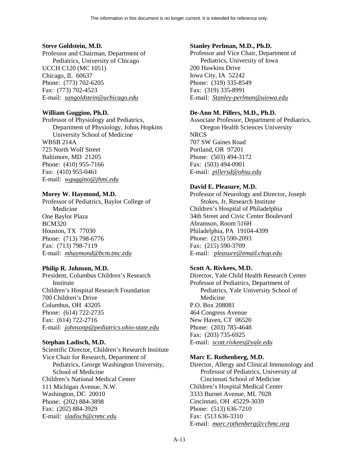### **Steve Goldstein, M.D.**

Professor and Chairman, Department of Pediatrics, University of Chicago UCCH C120 (MC 1051) Chicago, IL 60637 Phone: (773) 702-6205 Fax: (773) 702-4523 E-mail: *[sangoldstein@uchicago.edu](mailto:sangoldstein@uchicago.edu)* 

### **William Guggino, Ph.D.**

Professor of Physiology and Pediatrics, Department of Physiology, Johns Hopkins University School of Medicine WBSB 214A 725 North Wolf Street Baltimore, MD 21205 Phone: (410) 955-7166 Fax: (410) 955-0461 E-mail: *[wguggino@jhmi.edu](mailto:wguggino@jhmi.edu)* 

### **Morey W. Haymond, M.D.**

Professor of Pediatrics, Baylor College of Medicine One Baylor Plaza BCM320 Houston, TX 77030 Phone: (713) 798-6776 Fax: (713) 798-7119 E-mail: *[mhaymond@bcm.tmc.edu](mailto:mhaymond@bcm.tmc.edu)* 

### **Philip R. Johnson, M.D.**

President, Columbus Children's Research Institute Children's Hospital Research Foundation 700 Children's Drive Columbus, OH 43205 Phone: (614) 722-2735 Fax: (614) 722-2716 E-mail: *[johnsonp@pediatrics.ohio-state.edu](mailto:johnsonp@pediatrics.ohio-state.edu)* 

### **Stephan Ladisch, M.D.**

Scientific Director, Children's Research Institute Vice Chair for Research, Department of Pediatrics, George Washington University, School of Medicine Children's National Medical Center 111 Michigan Avenue, N.W. Washington, DC 20010 Phone: (202) 884-3898 Fax: (202) 884-3929 E-mail: *[sladisch@cnmc.edu](mailto:sladisch@cnmc.edu)* 

### **Stanley Perlman, M.D., Ph.D.**

Professor and Vice Chair, Department of Pediatrics, University of Iowa 200 Hawkins Drive Iowa City, IA 52242 Phone: (319) 335-8549 Fax: (319) 335-8991 E-mail: *[Stanley-perlman@uiowa.edu](mailto:Stanley-perlman@uiowa.edu)*

### **De-Ann M. Pillers, M.D., Ph.D.**

 Oregon Health Sciences University Associate Professor, Department of Pediatrics, **NRCS** 707 SW Gaines Road Portland, OR 97201 Phone: (503) 494-3172 Fax: (503) 494-0901 E-mail: *[pillersd@ohsu.edu](mailto:pillersd@ohsu.edu)*

### **David E. Pleasure, M.D.**

Professor of Neurology and Director, Joseph Stokes, Jr. Research Institute Children's Hospital of Philadelphia 34th Street and Civic Center Boulevard Abramson, Room 516H Philadelphia, PA 19104-4399 Phone: (215) 590-2093 Fax: (215) 590-3709 E-mail: *[pleasure@email.chop.edu](mailto:pleasure@mail.chop.edu)*

### **Scott A. Rivkees, M.D.**

Director, Yale Child Health Research Center Professor of Pediatrics, Department of Pediatrics, Yale University School of Medicine P.O. Box 208081 464 Congress Avenue New Haven, CT 06520 Phone: (203) 785-4648 Fax: (203) 735-6925 E-mail: *[scott.rivkees@yale.edu](mailto:scott.rivkees@yale.edu)*

### **Marc E. Rothenberg, M.D.**

Director, Allergy and Clinical Immunology and Professor of Pediatrics, University of Cincinnati School of Medicine Children's Hospital Medical Center 3333 Burnet Avenue, ML 7028 Cincinnati, OH 45229-3039 Phone: (513) 636-7210 Fax: (513 636-3310 E-mail: *[marc.rothenberg@cchmc.org](mailto:marc.rothenberg@cchmc.org)*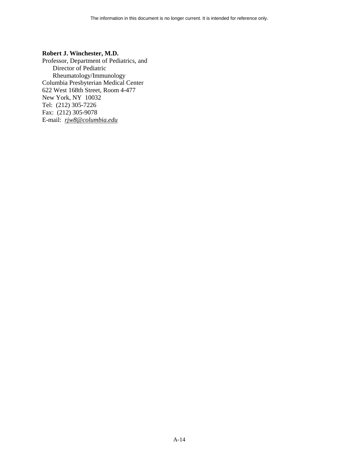#### **Robert J. Winchester, M.D.**

Professor, Department of Pediatrics, and Director of Pediatric Rheumatology/Immunology Columbia Presbyterian Medical Center 622 West 168th Street, Room 4-477 New York, NY 10032 Tel: (212) 305-7226 Fax: (212) 305-9078 E-mail: *[rjw8@columbia.edu](mailto:rjw8@columbia.edu)*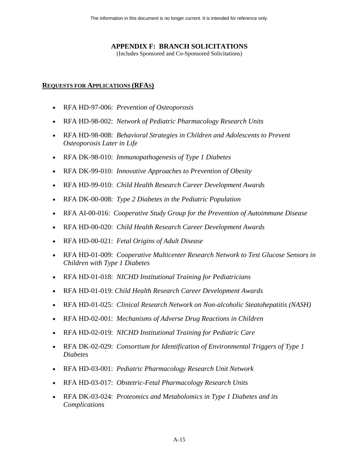# **APPENDIX F: BRANCH SOLICITATIONS**

(Includes Sponsored and Co-Sponsored Solicitations)

# **REQUESTS FOR APPLICATIONS (RFAS)**

- RFA HD-97-006: *Prevention of Osteoporosis*
- RFA HD-98-002: *Network of Pediatric Pharmacology Research Units*
- RFA HD-98-008: *Behavioral Strategies in Children and Adolescents to Prevent Osteoporosis Later in Life*
- RFA DK-98-010: *Immunopathogenesis of Type 1 Diabetes*
- RFA DK-99-010: *Innovative Approaches to Prevention of Obesity*
- RFA HD-99-010: *Child Health Research Career Development Awards*
- RFA DK-00-008: *Type 2 Diabetes in the Pediatric Population*
- RFA AI-00-016: *Cooperative Study Group for the Prevention of Autoimmune Disease*
- RFA HD-00-020: *Child Health Research Career Development Awards*
- RFA HD-00-021: *Fetal Origins of Adult Disease*
- *Children with Type 1 Diabetes* • RFA HD-01-009: *Cooperative Multicenter Research Network to Test Glucose Sensors in*
- RFA HD-01-018: *NICHD Institutional Training for Pediatricians*
- RFA HD-01-019: *Child Health Research Career Development Awards*
- RFA HD-01-025: *Clinical Research Network on Non-alcoholic Steatohepatitis (NASH)*
- RFA HD-02-001: *Mechanisms of Adverse Drug Reactions in Children*
- RFA HD-02-019: *NICHD Institutional Training for Pediatric Care*
- RFA DK-02-029: *Consortium for Identification of Environmental Triggers of Type 1 Diabetes*
- RFA HD-03-001: *Pediatric Pharmacology Research Unit Network*
- RFA HD-03-017: *Obstetric-Fetal Pharmacology Research Units*
- RFA DK-03-024: *Proteomics and Metabolomics in Type 1 Diabetes and its Complications*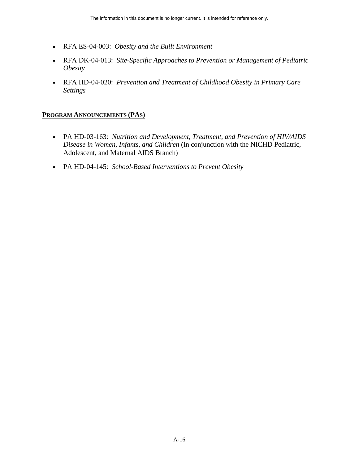- RFA ES-04-003: *Obesity and the Built Environment*
- RFA DK-04-013: *Site-Specific Approaches to Prevention or Management of Pediatric Obesity*
- RFA HD-04-020: *Prevention and Treatment of Childhood Obesity in Primary Care Settings*

### **PROGRAM ANNOUNCEMENTS (PAS)**

- PA HD-03-163: *Nutrition and Development, Treatment, and Prevention of HIV/AIDS Disease in Women, Infants, and Children* (In conjunction with the NICHD Pediatric, Adolescent, and Maternal AIDS Branch)
- PA HD-04-145: *School-Based Interventions to Prevent Obesity*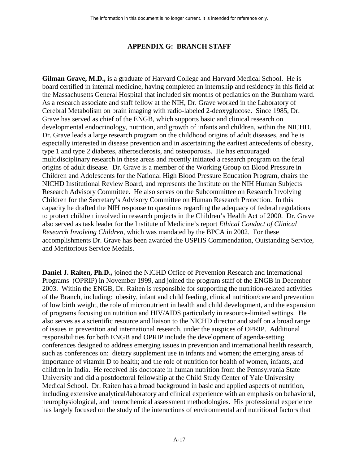# **APPENDIX G: BRANCH STAFF**

**Gilman Grave, M.D.,** is a graduate of Harvard College and Harvard Medical School. He is board certified in internal medicine, having completed an internship and residency in this field at the Massachusetts General Hospital that included six months of pediatrics on the Burnham ward. As a research associate and staff fellow at the NIH, Dr. Grave worked in the Laboratory of Cerebral Metabolism on brain imaging with radio-labeled 2-deoxyglucose. Since 1985, Dr. Grave has served as chief of the ENGB, which supports basic and clinical research on developmental endocrinology, nutrition, and growth of infants and children, within the NICHD. Dr. Grave leads a large research program on the childhood origins of adult diseases, and he is especially interested in disease prevention and in ascertaining the earliest antecedents of obesity, type 1 and type 2 diabetes, atherosclerosis, and osteoporosis. He has encouraged multidisciplinary research in these areas and recently initiated a research program on the fetal origins of adult disease. Dr. Grave is a member of the Working Group on Blood Pressure in Children and Adolescents for the National High Blood Pressure Education Program, chairs the NICHD Institutional Review Board, and represents the Institute on the NIH Human Subjects Research Advisory Committee. He also serves on the Subcommittee on Research Involving Children for the Secretary's Advisory Committee on Human Research Protection. In this capacity he drafted the NIH response to questions regarding the adequacy of federal regulations to protect children involved in research projects in the Children's Health Act of 2000. Dr. Grave also served as task leader for the Institute of Medicine's report *Ethical Conduct of Clinical Research Involving Children*, which was mandated by the BPCA in 2002. For these accomplishments Dr. Grave has been awarded the USPHS Commendation, Outstanding Service, and Meritorious Service Medals.

**Daniel J. Raiten, Ph.D.,** joined the NICHD Office of Prevention Research and International Programs (OPRIP) in November 1999, and joined the program staff of the ENGB in December 2003. Within the ENGB, Dr. Raiten is responsible for supporting the nutrition-related activities of the Branch, including: obesity, infant and child feeding, clinical nutrition/care and prevention of low birth weight, the role of micronutrient in health and child development, and the expansion of programs focusing on nutrition and HIV/AIDS particularly in resource-limited settings. He also serves as a scientific resource and liaison to the NICHD director and staff on a broad range of issues in prevention and international research, under the auspices of OPRIP. Additional responsibilities for both ENGB and OPRIP include the development of agenda-setting conferences designed to address emerging issues in prevention and international health research, such as conferences on: dietary supplement use in infants and women; the emerging areas of importance of vitamin D to health; and the role of nutrition for health of women, infants, and children in India. He received his doctorate in human nutrition from the Pennsylvania State University and did a postdoctoral fellowship at the Child Study Center of Yale University Medical School. Dr. Raiten has a broad background in basic and applied aspects of nutrition, including extensive analytical/laboratory and clinical experience with an emphasis on behavioral, neurophysiological, and neurochemical assessment methodologies. His professional experience has largely focused on the study of the interactions of environmental and nutritional factors that